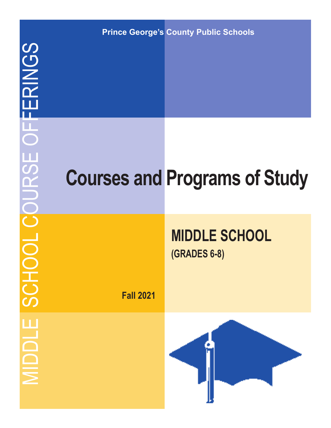**Prince George's County Public Schools**

# **Courses and Programs of Study**

# **MIDDLE SCHOOL (GRADES 6-8)**

**Fall 2021**

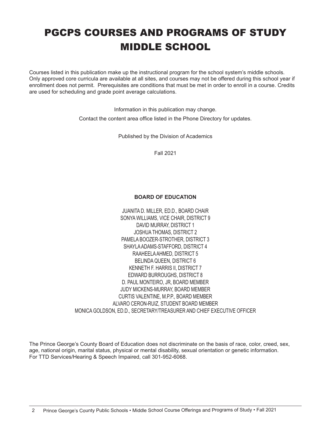# PGCPS COURSES AND PROGRAMS OF STUDY MIDDLE SCHOOL

Courses listed in this publication make up the instructional program for the school system's middle schools. Only approved core curricula are available at all sites, and courses may not be offered during this school year if enrollment does not permit. Prerequisites are conditions that must be met in order to enroll in a course. Credits are used for scheduling and grade point average calculations.

> Information in this publication may change. Contact the content area office listed in the Phone Directory for updates.

> > Published by the Division of Academics

Fall 2021

#### **BOARD OF EDUCATION**

JUANITA D. MILLER, ED.D., BOARD CHAIR SONYA WILLIAMS, VICE CHAIR, DISTRICT 9 DAVID MURRAY, DISTRICT 1 JOSHUA THOMAS, DISTRICT 2 PAMELA BOOZER-STROTHER, DISTRICT 3 SHAYLA ADAMS-STAFFORD, DISTRICT 4 RAAHEELA AHMED, DISTRICT 5 BELINDA QUEEN, DISTRICT 6 KENNETH F. HARRIS II, DISTRICT 7 EDWARD BURROUGHS, DISTRICT 8 D. PAUL MONTEIRO, JR, BOARD MEMBER JUDY MICKENS-MURRAY, BOARD MEMBER CURTIS VALENTINE, M.P.P., BOARD MEMBER ALVARO CERON-RUIZ, STUDENT BOARD MEMBER MONICA GOLDSON, ED.D., SECRETARY/TREASURER AND CHIEF EXECUTIVE OFFICER

The Prince George's County Board of Education does not discriminate on the basis of race, color, creed, sex, age, national origin, marital status, physical or mental disability, sexual orientation or genetic information. For TTD Services/Hearing & Speech Impaired, call 301-952-6068.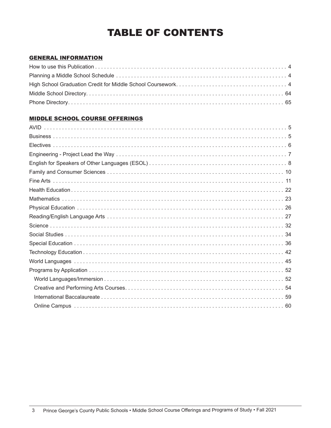# TABLE OF CONTENTS

#### GENERAL INFORMATION

#### MIDDLE SCHOOL COURSE OFFERINGS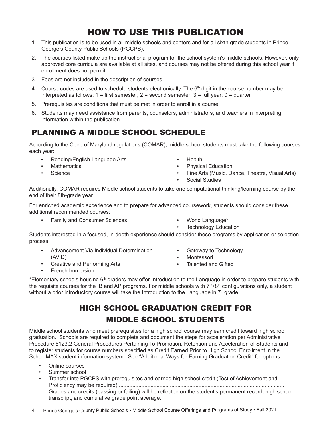### HOW TO USE THIS PUBLICATION

- 1. This publication is to be used in all middle schools and centers and for all sixth grade students in Prince George's County Public Schools (PGCPS).
- 2. The courses listed make up the instructional program for the school system's middle schools. However, only approved core curricula are available at all sites, and courses may not be offered during this school year if enrollment does not permit.
- 3. Fees are not included in the description of courses.
- 4. Course codes are used to schedule students electronically. The  $6<sup>th</sup>$  digit in the course number may be interpreted as follows:  $1 =$  first semester;  $2 =$  second semester;  $3 =$  full year;  $0 =$  quarter
- 5. Prerequisites are conditions that must be met in order to enroll in a course.
- 6. Students may need assistance from parents, counselors, administrators, and teachers in interpreting information within the publication.

### PLANNING A MIDDLE SCHOOL SCHEDULE

According to the Code of Maryland regulations (COMAR), middle school students must take the following courses each year:

- Reading/English Language Arts
- **Mathematics**
- Science
- Health
- Physical Education
- Fine Arts (Music, Dance, Theatre, Visual Arts)
- Social Studies

Additionally, COMAR requires Middle school students to take one computational thinking/learning course by the end of their 8th-grade year.

For enriched academic experience and to prepare for advanced coursework, students should consider these additional recommended courses:

• Family and Consumer Sciences • World Language\*

• Creative and Performing Arts

- 
- Technology Education

Students interested in a focused, in-depth experience should consider these programs by application or selection process:

- Advancement Via Individual Determination (AVID)
- Gateway to Technology
- **Montessori**
- Talented and Gifted
- French Immersion

\*Elementary schools housing 6<sup>th</sup> graders may offer Introduction to the Language in order to prepare students with the requisite courses for the IB and AP programs. For middle schools with  $7<sup>th</sup>/8<sup>th</sup>$  configurations only, a student without a prior introductory course will take the Introduction to the Language in  $7<sup>th</sup>$  grade.

### HIGH SCHOOL GRADUATION CREDIT FOR MIDDLE SCHOOL STUDENTS

Middle school students who meet prerequisites for a high school course may earn credit toward high school graduation. Schools are required to complete and document the steps for acceleration per Administrative Procedure 5123.2 General Procedures Pertaining To Promotion, Retention and Acceleration of Students and to register students for course numbers specified as Credit Earned Prior to High School Enrollment in the SchoolMAX student information system. See "Additional Ways for Earning Graduation Credit" for options:

- Online courses
- Summer school
- Transfer into PGCPS with prerequisites and earned high school credit (Test of Achievement and Proficiency may be required) .............................................................................................................. Grades and credits (passing or failing) will be reflected on the student's permanent record, high school transcript, and cumulative grade point average.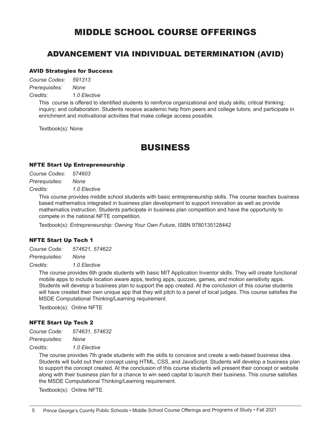### MIDDLE SCHOOL COURSE OFFERINGS

#### ADVANCEMENT VIA INDIVIDUAL DETERMINATION (AVID)

#### AVID Strategies for Success

*Course Codes: 591313 Prerequisites: None*

*Credits: 1.0 Elective*

This course is offered to identified students to reinforce organizational and study skills; critical thinking; inquiry; and collaboration. Students receive academic help from peers and college tutors; and participate in enrichment and motivational activities that make college access possible.

Textbook(s): None

### BUSINESS

#### NFTE Start Up Entrepreneurship

| Course Codes:  | 574603       |
|----------------|--------------|
| Prerequisites: | None         |
| Credits:       | 1.0 Elective |

This course provides middle school students with basic entrepreneurship skills. The course teaches business based mathematics integrated in business plan development to support innovation as well as provide mathematics instruction. Students participate in business plan competition and have the opportunity to compete in the national NFTE competition.

Textbook(s): *Entrepreneurship: Owning Your Own Future*, ISBN 9780135128442

#### NFTE Start Up Tech 1

*Course Code: 574621, 574622*

*Prerequisites: None*

*Credits: 1.0 Elective*

The course provides 6th grade students with basic MIT Application Inventor skills. They will create functional mobile apps to include location aware apps, texting apps, quizzes, games, and motion sensitivity apps. Students will develop a business plan to support the app created. At the conclusion of this course students will have created their own unique app that they will pitch to a panel of local judges. This course satisfies the MSDE Computational Thinking/Learning requirement.

Textbook(s): Online NFTE

#### NFTE Start Up Tech 2

*Course Code: 574631, 574632 Prerequisites: None*

*Credits: 1.0 Elective*

The course provides 7th grade students with the skills to conceive and create a web-based business idea. Students will build out their concept using HTML, CSS, and JavaScript. Students will develop a business plan to support the concept created. At the conclusion of this course students will present their concept or website along with their business plan for a chance to win seed capital to launch their business. This course satisfies the MSDE Computational Thinking/Learning requirement.

Textbook(s): Online NFTE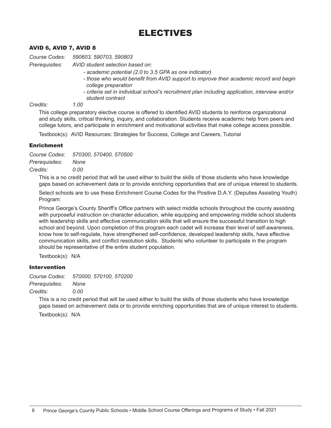### ELECTIVES

#### AVID 6, AVID 7, AVID 8

*Course Codes: 590603, 590703, 590803*

*Prerequisites: AVID student selection based on:*

- *academic potential (2.0 to 3.5 GPA as one indicator)*
- *those who would benefit from AVID support to improve their academic record and begin college preparation*
- *criteria set in individual school's recruitment plan including application, interview and/or student contract*<br>1.00

*Credits: 1.00*

This college preparatory elective course is offered to identified AVID students to reinforce organizational and study skills, critical thinking, inquiry, and collaboration. Students receive academic help from peers and college tutors, and participate in enrichment and motivational activities that make college access possible.

Textbook(s): AVID Resources: Strategies for Success, College and Careers, Tutorial

#### Enrichment

*Course Codes: 570300, 570400, 570500 Prerequisites: None Credits: 0.00*

This is a no credit period that will be used either to build the skills of those students who have knowledge gaps based on achievement data or to provide enriching opportunities that are of unique interest to students.

Select schools are to use these Enrichment Course Codes for the Positive D.A.Y. (Deputies Assisting Youth) Program:

Prince George's County Sheriff's Office partners with select middle schools throughout the county assisting with purposeful instruction on character education, while equipping and empowering middle school students with leadership skills and effective communication skills that will ensure the successful transition to high school and beyond. Upon completion of this program each cadet will increase their level of self-awareness, know how to self-regulate, have strengthened self-confidence, developed leadership skills, have effective communication skills, and conflict resolution skills. Students who volunteer to participate in the program should be representative of the entire student population.

Textbook(s): N/A

#### Intervention

*Course Codes: 570000, 570100, 570200*

*Prerequisites: None*

*Credits: 0.00*

This is a no credit period that will be used either to build the skills of those students who have knowledge gaps based on achievement data or to provide enriching opportunities that are of unique interest to students.

Textbook(s): N/A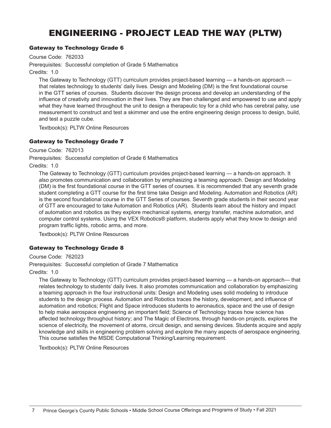### ENGINEERING - PROJECT LEAD THE WAY (PLTW)

#### Gateway to Technology Grade 6

Course Code: 762033

Prerequisites: Successful completion of Grade 5 Mathematics

Credits: 1.0

The Gateway to Technology (GTT) curriculum provides project-based learning — a hands-on approach that relates technology to students' daily lives. Design and Modeling (DM) is the first foundational course in the GTT series of courses. Students discover the design process and develop an understanding of the influence of creativity and innovation in their lives. They are then challenged and empowered to use and apply what they have learned throughout the unit to design a therapeutic toy for a child who has cerebral palsy, use measurement to construct and test a skimmer and use the entire engineering design process to design, build, and test a puzzle cube.

Textbook(s): PLTW Online Resources

#### Gateway to Technology Grade 7

Course Code: 762013

Prerequisites: Successful completion of Grade 6 Mathematics

Credits: 1.0

The Gateway to Technology (GTT) curriculum provides project-based learning — a hands-on approach. It also promotes communication and collaboration by emphasizing a teaming approach. Design and Modeling (DM) is the first foundational course in the GTT series of courses. It is recommended that any seventh grade student completing a GTT course for the first time take Design and Modeling. Automation and Robotics (AR) is the second foundational course in the GTT Series of courses. Seventh grade students in their second year of GTT are encouraged to take Automation and Robotics (AR). Students learn about the history and impact of automation and robotics as they explore mechanical systems, energy transfer, machine automation, and computer control systems. Using the VEX Robotics® platform, students apply what they know to design and program traffic lights, robotic arms, and more.

Textbook(s): PLTW Online Resources

#### Gateway to Technology Grade 8

Course Code: 762023

Prerequisites: Successful completion of Grade 7 Mathematics

Credits: 1.0

The Gateway to Technology (GTT) curriculum provides project-based learning — a hands-on approach— that relates technology to students' daily lives. It also promotes communication and collaboration by emphasizing a teaming approach in the four instructional units: Design and Modeling uses solid modeling to introduce students to the design process. Automation and Robotics traces the history, development, and influence of automation and robotics; Flight and Space introduces students to aeronautics, space and the use of design to help make aerospace engineering an important field; Science of Technology traces how science has affected technology throughout history; and The Magic of Electrons, through hands-on projects, explores the science of electricity, the movement of atoms, circuit design, and sensing devices. Students acquire and apply knowledge and skills in engineering problem solving and explore the many aspects of aerospace engineering. This course satisfies the MSDE Computational Thinking/Learning requirement.

Textbook(s): PLTW Online Resources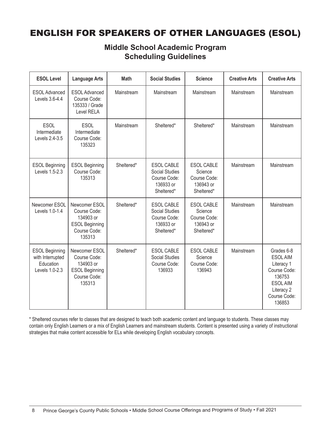### ENGLISH FOR SPEAKERS OF OTHER LANGUAGES (ESOL)

### **Middle School Academic Program Scheduling Guidelines**

| <b>ESOL Level</b>                                                        | <b>Language Arts</b>                                                                          | <b>Math</b> | <b>Social Studies</b>                                                          | <b>Science</b>                                                          | <b>Creative Arts</b> | <b>Creative Arts</b>                                                                                                           |
|--------------------------------------------------------------------------|-----------------------------------------------------------------------------------------------|-------------|--------------------------------------------------------------------------------|-------------------------------------------------------------------------|----------------------|--------------------------------------------------------------------------------------------------------------------------------|
| <b>ESOL Advanced</b><br>Levels 3.6-4.4                                   | <b>ESOL Advanced</b><br>Course Code:<br>135333 / Grade<br>Level RELA                          | Mainstream  | Mainstream                                                                     | Mainstream                                                              | Mainstream           | Mainstream                                                                                                                     |
| <b>ESOL</b><br>Intermediate<br>Levels 2.4-3.5                            | <b>ESOL</b><br>Intermediate<br>Course Code:<br>135323                                         | Mainstream  | Sheltered*                                                                     | Sheltered*                                                              | Mainstream           | Mainstream                                                                                                                     |
| <b>ESOL Beginning</b><br>Levels 1.5-2.3                                  | <b>ESOL Beginning</b><br>Course Code:<br>135313                                               | Sheltered*  | <b>ESOL CABLE</b><br>Social Studies<br>Course Code:<br>136933 or<br>Sheltered* | <b>ESOL CABLE</b><br>Science<br>Course Code:<br>136943 or<br>Sheltered* | Mainstream           | Mainstream                                                                                                                     |
| Newcomer ESOL<br>Levels 1.0-1.4                                          | Newcomer ESOL<br>Course Code:<br>134903 or<br><b>ESOL Beginning</b><br>Course Code:<br>135313 | Sheltered*  | <b>ESOL CABLE</b><br>Social Studies<br>Course Code:<br>136933 or<br>Sheltered* | <b>ESOL CABLE</b><br>Science<br>Course Code:<br>136943 or<br>Sheltered* | Mainstream           | Mainstream                                                                                                                     |
| <b>ESOL Beginning</b><br>with Interrupted<br>Education<br>Levels 1.0-2.3 | Newcomer ESOL<br>Course Code:<br>134903 or<br><b>ESOL Beginning</b><br>Course Code:<br>135313 | Sheltered*  | <b>ESOL CABLE</b><br>Social Studies<br>Course Code:<br>136933                  | <b>ESOL CABLE</b><br>Science<br>Course Code:<br>136943                  | Mainstream           | Grades 6-8<br><b>ESOLAIM</b><br>Literacy 1<br>Course Code:<br>136753<br><b>ESOLAIM</b><br>Literacy 2<br>Course Code:<br>136853 |

\* Sheltered courses refer to classes that are designed to teach both academic content and language to students. These classes may contain only English Learners or a mix of English Learners and mainstream students. Content is presented using a variety of instructional strategies that make content accessible for ELs while developing English vocabulary concepts.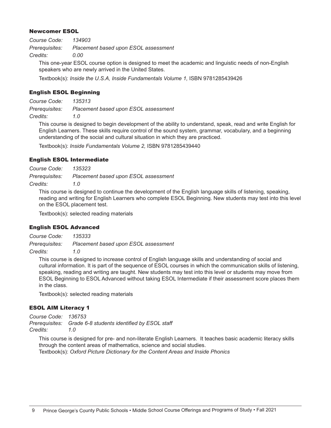#### Newcomer ESOL

| Course Code:   | 134903                               |
|----------------|--------------------------------------|
| Prerequisites: | Placement based upon ESOL assessment |
| Credits:       | 0.00                                 |

This one-year ESOL course option is designed to meet the academic and linguistic needs of non-English speakers who are newly arrived in the United States.

Textbook(s): *Inside the U.S.A, Inside Fundamentals Volume 1,* ISBN 9781285439426

#### English ESOL Beginning

*Course Code: 135313 Prerequisites: Placement based upon ESOL assessment*

*Credits: 1.0*

This course is designed to begin development of the ability to understand, speak, read and write English for English Learners. These skills require control of the sound system, grammar, vocabulary, and a beginning understanding of the social and cultural situation in which they are practiced.

Textbook(s): *Inside Fundamentals Volume 2,* ISBN 9781285439440

#### English ESOL Intermediate

*Course Code: 135323*

*Prerequisites: Placement based upon ESOL assessment*

*Credits: 1.0*

This course is designed to continue the development of the English language skills of listening, speaking, reading and writing for English Learners who complete ESOL Beginning. New students may test into this level on the ESOL placement test.

Textbook(s): selected reading materials

#### English ESOL Advanced

*Course Code: 135333 Prerequisites: Placement based upon ESOL assessment Credits: 1.0*

This course is designed to increase control of English language skills and understanding of social and cultural information. It is part of the sequence of ESOL courses in which the communication skills of listening, speaking, reading and writing are taught. New students may test into this level or students may move from ESOL Beginning to ESOL Advanced without taking ESOL Intermediate if their assessment score places them in the class.

Textbook(s): selected reading materials

#### ESOL AIM Literacy 1

*Course Code: 136753 Prerequisites: Grade 6-8 students identified by ESOL staff Credits: 1.0*

This course is designed for pre- and non-literate English Learners. It teaches basic academic literacy skills through the content areas of mathematics, science and social studies. Textbook(s): *Oxford Picture Dictionary for the Content Areas and Inside Phonics*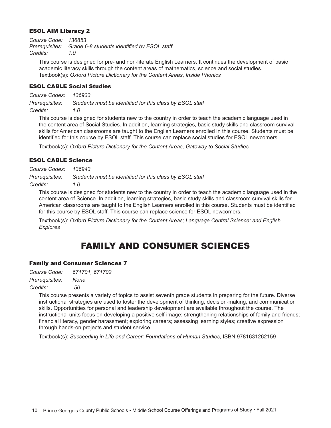#### ESOL AIM Literacy 2

*Course Code: 136853 Prerequisites: Grade 6-8 students identified by ESOL staff Credits: 1.0*

This course is designed for pre- and non-literate English Learners. It continues the development of basic academic literacy skills through the content areas of mathematics, science and social studies. Textbook(s): *Oxford Picture Dictionary for the Content Areas*, *Inside Phonics*

#### ESOL CABLE Social Studies

*Course Codes: 136933 Prerequisites: Students must be identified for this class by ESOL staff Credits: 1.0*

This course is designed for students new to the country in order to teach the academic language used in the content area of Social Studies. In addition, learning strategies, basic study skills and classroom survival skills for American classrooms are taught to the English Learners enrolled in this course. Students must be identified for this course by ESOL staff. This course can replace social studies for ESOL newcomers.

Textbook(s): *Oxford Picture Dictionary for the Content Areas, Gateway to Social Studies*

#### ESOL CABLE Science

*Course Codes: 136943*

*Prerequisites: Students must be identified for this class by ESOL staff*

*Credits: 1.0*

This course is designed for students new to the country in order to teach the academic language used in the content area of Science. In addition, learning strategies, basic study skills and classroom survival skills for American classrooms are taught to the English Learners enrolled in this course. Students must be identified for this course by ESOL staff. This course can replace science for ESOL newcomers.

Textbook(s): *Oxford Picture Dictionary for the Content Areas; Language Central Science; and English Explores* 

### FAMILY AND CONSUMER SCIENCES

#### Family and Consumer Sciences 7

| Course Code:   | 671701, 671702 |
|----------------|----------------|
| Prerequisites: | None           |
| Credits:       | .50            |

This course presents a variety of topics to assist seventh grade students in preparing for the future. Diverse instructional strategies are used to foster the development of thinking, decision-making, and communication skills. Opportunities for personal and leadership development are available throughout the course. The instructional units focus on developing a positive self-image; strengthening relationships of family and friends; financial literacy, gender harassment; exploring careers; assessing learning styles; creative expression through hands-on projects and student service.

Textbook(s): *Succeeding in Life and Career: Foundations of Human Studies*, ISBN 9781631262159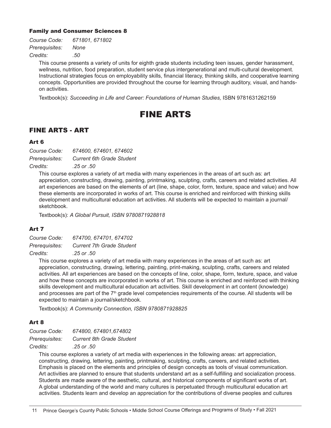#### Family and Consumer Sciences 8

| Course Code:   | 671801, 671802 |
|----------------|----------------|
| Prerequisites: | None           |
| Credits:       | .50            |

This course presents a variety of units for eighth grade students including teen issues, gender harassment, wellness, nutrition, food preparation, student service plus intergenerational and multi-cultural development. Instructional strategies focus on employability skills, financial literacy, thinking skills, and cooperative learning concepts. Opportunities are provided throughout the course for learning through auditory, visual, and handson activities.

Textbook(s): *Succeeding in Life and Career: Foundations of Human Studies, ISBN 9781631262159* 

### FINE ARTS

#### FINE ARTS - ART

#### Art 6

| Course Code:   | 674600, 674601, 674602           |
|----------------|----------------------------------|
| Prerequisites: | <b>Current 6th Grade Student</b> |
| Credits:       | .25 or .50                       |

This course explores a variety of art media with many experiences in the areas of art such as: art appreciation, constructing, drawing, painting, printmaking, sculpting, crafts, careers and related activities. All art experiences are based on the elements of art (line, shape, color, form, texture, space and value) and how these elements are incorporated in works of art. This course is enriched and reinforced with thinking skills development and multicultural education art activities. All students will be expected to maintain a journal/ sketchbook.

Textbook(s): *A Global Pursuit, ISBN 9780871928818*

#### Art 7

| Course Code:   | 674700, 674701, 674702           |
|----------------|----------------------------------|
| Prerequisites: | <b>Current 7th Grade Student</b> |
| Credits:       | .25 or .50                       |

This course explores a variety of art media with many experiences in the areas of art such as: art appreciation, constructing, drawing, lettering, painting, print-making, sculpting, crafts, careers and related activities. All art experiences are based on the concepts of line, color, shape, form, texture, space, and value and how these concepts are incorporated in works of art. This course is enriched and reinforced with thinking skills development and multicultural education art activities. Skill development in art content (knowledge) and processes are part of the 7<sup>th</sup> grade level competencies requirements of the course. All students will be expected to maintain a journal/sketchbook.

Textbook(s): *A Community Connection, ISBN 9780871928825*

#### Art 8

*Course Code: 674800, 674801,674802 Prerequisites: Current 8th Grade Student Credits: .25 or .50*

This course explores a variety of art media with experiences in the following areas: art appreciation, constructing, drawing, lettering, painting, printmaking, sculpting, crafts, careers, and related activities. Emphasis is placed on the elements and principles of design concepts as tools of visual communication. Art activities are planned to ensure that students understand art as a self-fulfilling and socialization process. Students are made aware of the aesthetic, cultural, and historical components of significant works of art. A global understanding of the world and many cultures is perpetuated through multicultural education art activities. Students learn and develop an appreciation for the contributions of diverse peoples and cultures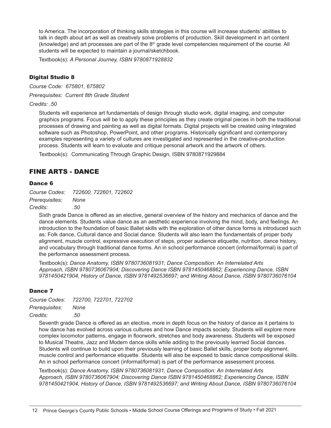to America. The incorporation of thinking skills strategies in this course will increase students' abilities to talk in depth about art as well as creatively solve problems of production. Skill development in art content (knowledge) and art processes are part of the 8<sup>th</sup> grade level competencies requirement of the course. All students will be expected to maintain a journal/sketchbook.

Textbook(s): *A Personal Journey, ISBN 9780871928832*

#### Digital Studio 8

*Course Code: 675801, 675802*

*Prerequisites: Current 8th Grade Student*

*Credits: .50*

Students will experience art fundamentals of design through studio work, digital imaging, and computer graphics programs. Focus will be to apply these principles as they create original pieces in both the traditional processes of drawing and painting as well as digital formats. Digital projects will be created using integrated software such as Photoshop, PowerPoint, and other programs. Historically significant and contemporary examples representing a variety of cultures are investigated and represented in the creative-production process. Students will learn to evaluate and critique personal artwork and the artwork of others.

Textbook(s): Communicating Through Graphic Design, ISBN 9780871929884

#### FINE ARTS - DANCE

#### Dance 6

*Course Codes: 722600, 722601, 722602 Prerequisites: None Credits: .50*

Sixth grade Dance is offered as an elective, general overview of the history and mechanics of dance and the dance elements. Students value dance as an aesthetic experience involving the mind, body, and feelings. An introduction to the foundation of basic Ballet skills with the exploration of other dance forms is introduced such as: Folk dance, Cultural dance and Social dance. Students will also learn the fundamentals of proper body alignment, muscle control, expressive execution of steps, proper audience etiquette, nutrition, dance history, and vocabulary through traditional dance forms. An in school performance concert (informal/formal) is part of the performance assessment process.

Textbook(s): *Dance Anatomy, ISBN 9780736081931; Dance Composition: An Interrelated Arts Approach, ISBN 9780736067904; Discovering Dance ISBN 9781450468862; Experiencing Dance, ISBN 9781450421904, History of Dance, ISBN 9781492536697; and Writing About Dance, ISBN 9780736076104*

#### Dance 7

*Course Codes: 722700, 722701, 722702*

*Prerequisites: None*

*Credits: .50*

Seventh grade Dance is offered as an elective, more in depth focus on the history of dance as it pertains to how dance has evolved across various cultures and how Dance impacts society. Students will explore more complex locomotor patterns, engage in floorwork, stretches and body awareness. Students will be exposed to Musical Theatre, Jazz and Modern dance skills while adding to the previously learned Social dances. Students will continue to build upon their previously learning of basic Ballet skills, proper body alignment, muscle control and performance etiquette. Students will also be exposed to basic dance compositional skills. An in school performance concert (informal/formal) is part of the performance assessment process.

Textbook(s): *Dance Anatomy, ISBN 9780736081931; Dance Composition: An Interrelated Arts Approach, ISBN 9780736067904; Discovering Dance ISBN 9781450468862; Experiencing Dance, ISBN 9781450421904, History of Dance, ISBN 9781492536697; and Writing About Dance, ISBN 9780736076104*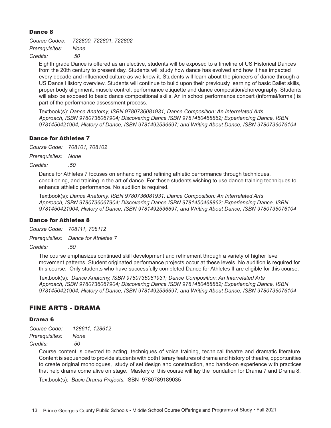#### Dance 8

*Course Codes: 722800, 722801, 722802 Prerequisites: None Credits: .50*

Eighth grade Dance is offered as an elective, students will be exposed to a timeline of US Historical Dances from the 20th century to present day. Students will study how dance has evolved and how it has impacted every decade and influenced culture as we know it. Students will learn about the pioneers of dance through a US Dance History overview. Students will continue to build upon their previously learning of basic Ballet skills, proper body alignment, muscle control, performance etiquette and dance composition/choreography. Students will also be exposed to basic dance compositional skills. An in school performance concert (informal/formal) is part of the performance assessment process.

Textbook(s): *Dance Anatomy, ISBN 9780736081931; Dance Composition: An Interrelated Arts Approach, ISBN 9780736067904; Discovering Dance ISBN 9781450468862; Experiencing Dance, ISBN 9781450421904, History of Dance, ISBN 9781492536697; and Writing About Dance, ISBN 9780736076104*

#### Dance for Athletes 7

*Course Code: 708101, 708102*

*Prerequisites: None*

*Credits: .50*

Dance for Athletes 7 focuses on enhancing and refining athletic performance through techniques, conditioning, and training in the art of dance. For those students wishing to use dance training techniques to enhance athletic performance. No audition is required.

Textbook(s): *Dance Anatomy, ISBN 9780736081931; Dance Composition: An Interrelated Arts Approach, ISBN 9780736067904; Discovering Dance ISBN 9781450468862; Experiencing Dance, ISBN 9781450421904, History of Dance, ISBN 9781492536697; and Writing About Dance, ISBN 9780736076104*

#### Dance for Athletes 8

*Course Code: 708111, 708112*

*Prerequisites: Dance for Athletes 7*

*Credits: .50*

The course emphasizes continued skill development and refinement through a variety of higher level movement patterns. Student originated performance projects occur at these levels. No audition is required for this course. Only students who have successfully completed Dance for Athletes II are eligible for this course.

Textbook(s): *Dance Anatomy, ISBN 9780736081931; Dance Composition: An Interrelated Arts Approach, ISBN 9780736067904; Discovering Dance ISBN 9781450468862; Experiencing Dance, ISBN 9781450421904, History of Dance, ISBN 9781492536697; and Writing About Dance, ISBN 9780736076104*

#### FINE ARTS - DRAMA

#### Drama 6

*Course Code: 128611, 128612 Prerequisites: None Credits: .50*

> Course content is devoted to acting, techniques of voice training, technical theatre and dramatic literature. Content is sequenced to provide students with both literary features of drama and history of theatre, opportunities to create original monologues, study of set design and construction, and hands-on experience with practices that help drama come alive on stage. Mastery of this course will lay the foundation for Drama 7 and Drama 8.

Textbook(s): *Basic Drama Projects,* ISBN 9780789189035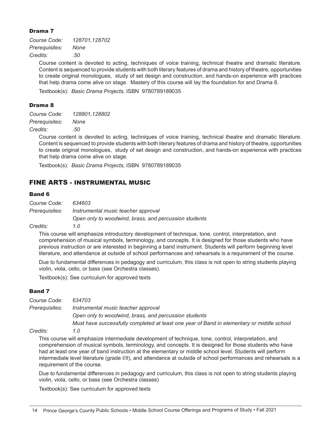#### Drama 7

*Course Code: 128701,128702 Prerequisites: None Credits: .50*

> Course content is devoted to acting, techniques of voice training, technical theatre and dramatic literature. Content is sequenced to provide students with both literary features of drama and history of theatre, opportunities to create original monologues, study of set design and construction, and hands-on experience with practices that help drama come alive on stage. Mastery of this course will lay the foundation for and Drama 8.

Textbook(s): *Basic Drama Projects,* ISBN 9780789189035

#### Drama 8

| Course Code:   | 128801,128802 |
|----------------|---------------|
| Prerequisites: | None          |
| Credits:       | .50           |

Course content is devoted to acting, techniques of voice training, technical theatre and dramatic literature. Content is sequenced to provide students with both literary features of drama and history of theatre, opportunities to create original monologues, study of set design and construction, and hands-on experience with practices that help drama come alive on stage.

Textbook(s): *Basic Drama Projects,* ISBN 9780789189035

#### FINE ARTS - INSTRUMENTAL MUSIC

#### Band 6

| Course Code:   | 634603                                                |
|----------------|-------------------------------------------------------|
| Prerequisites: | Instrumental music teacher approval                   |
|                | Open only to woodwind, brass, and percussion students |
| Credits:       | 1.0                                                   |

This course will emphasize introductory development of technique, tone, control, interpretation, and comprehension of musical symbols, terminology, and concepts. It is designed for those students who have previous instruction or are interested in beginning a band instrument. Students will perform beginning level literature, and attendance at outside of school performances and rehearsals is a requirement of the course.

Due to fundamental differences in pedagogy and curriculum, this class is not open to string students playing violin, viola, cello, or bass (see Orchestra classes).

Textbook(s): See curriculum for approved texts

#### Band 7

*Course Code: 634703 Prerequisites: Instrumental music teacher approval Open only to woodwind, brass, and percussion students Must have successfully completed at least one year of Band in elementary or middle school*

#### *Credits: 1.0*

This course will emphasize intermediate development of technique, tone, control, interpretation, and comprehension of musical symbols, terminology, and concepts. It is designed for those students who have had at least one year of band instruction at the elementary or middle school level. Students will perform intermediate level literature (grade I/II), and attendance at outside of school performances and rehearsals is a requirement of the course.

Due to fundamental differences in pedagogy and curriculum, this class is not open to string students playing violin, viola, cello, or bass (see Orchestra classes)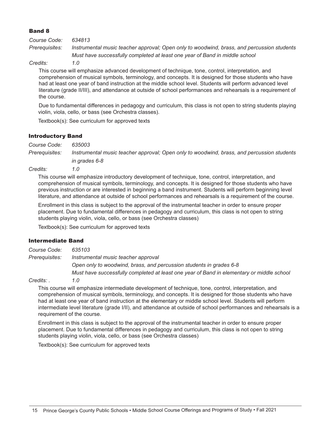#### Band 8

| Course Code:                                | 634813                                                                                     |
|---------------------------------------------|--------------------------------------------------------------------------------------------|
| Prerequisites:                              | Instrumental music teacher approval; Open only to woodwind, brass, and percussion students |
|                                             | Must have successfully completed at least one year of Band in middle school                |
| $\bigcap_{i=1}^n A_i = \bigcup_{i=1}^n A_i$ |                                                                                            |

#### *Credits: 1.0*

This course will emphasize advanced development of technique, tone, control, interpretation, and comprehension of musical symbols, terminology, and concepts. It is designed for those students who have had at least one year of band instruction at the middle school level. Students will perform advanced level literature (grade II/III), and attendance at outside of school performances and rehearsals is a requirement of the course.

Due to fundamental differences in pedagogy and curriculum, this class is not open to string students playing violin, viola, cello, or bass (see Orchestra classes).

Textbook(s): See curriculum for approved texts

#### Introductory Band

*Course Code: 635003 Prerequisites: Instrumental music teacher approval; Open only to woodwind, brass, and percussion students* 

*in grades 6-8*

*Credits: 1.0*

This course will emphasize introductory development of technique, tone, control, interpretation, and comprehension of musical symbols, terminology, and concepts. It is designed for those students who have previous instruction or are interested in beginning a band instrument. Students will perform beginning level literature, and attendance at outside of school performances and rehearsals is a requirement of the course.

Enrollment in this class is subject to the approval of the instrumental teacher in order to ensure proper placement. Due to fundamental differences in pedagogy and curriculum, this class is not open to string students playing violin, viola, cello, or bass (see Orchestra classes)

Textbook(s): See curriculum for approved texts

#### Intermediate Band

*Course Code: 635103 Prerequisites: Instrumental music teacher approval Open only to woodwind, brass, and percussion students in grades 6-8 Must have successfully completed at least one year of Band in elementary or middle school*

*Credits: . 1.0*

This course will emphasize intermediate development of technique, tone, control, interpretation, and comprehension of musical symbols, terminology, and concepts. It is designed for those students who have had at least one year of band instruction at the elementary or middle school level. Students will perform intermediate level literature (grade I/II), and attendance at outside of school performances and rehearsals is a requirement of the course.

Enrollment in this class is subject to the approval of the instrumental teacher in order to ensure proper placement. Due to fundamental differences in pedagogy and curriculum, this class is not open to string students playing violin, viola, cello, or bass (see Orchestra classes)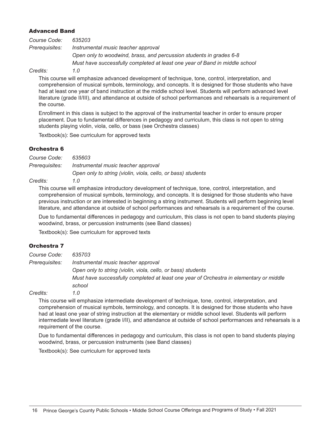#### Advanced Band

| Course Code:   | 635203                                                                      |
|----------------|-----------------------------------------------------------------------------|
| Prerequisites: | Instrumental music teacher approval                                         |
|                | Open only to woodwind, brass, and percussion students in grades 6-8         |
|                | Must have successfully completed at least one year of Band in middle school |
| Credits:       | 1.0                                                                         |

This course will emphasize advanced development of technique, tone, control, interpretation, and comprehension of musical symbols, terminology, and concepts. It is designed for those students who have

had at least one year of band instruction at the middle school level. Students will perform advanced level literature (grade II/III), and attendance at outside of school performances and rehearsals is a requirement of the course.

Enrollment in this class is subject to the approval of the instrumental teacher in order to ensure proper placement. Due to fundamental differences in pedagogy and curriculum, this class is not open to string students playing violin, viola, cello, or bass (see Orchestra classes)

Textbook(s): See curriculum for approved texts

#### Orchestra 6

*Course Code: 635603 Prerequisites: Instrumental music teacher approval Open only to string (violin, viola, cello, or bass) students*

#### *Credits: 1.0*

This course will emphasize introductory development of technique, tone, control, interpretation, and comprehension of musical symbols, terminology, and concepts. It is designed for those students who have previous instruction or are interested in beginning a string instrument. Students will perform beginning level literature, and attendance at outside of school performances and rehearsals is a requirement of the course.

Due to fundamental differences in pedagogy and curriculum, this class is not open to band students playing woodwind, brass, or percussion instruments (see Band classes)

Textbook(s): See curriculum for approved texts

#### Orchestra 7

| Course Code:   | 635703                                                                                  |  |
|----------------|-----------------------------------------------------------------------------------------|--|
| Prerequisites: | Instrumental music teacher approval                                                     |  |
|                | Open only to string (violin, viola, cello, or bass) students                            |  |
|                | Must have successfully completed at least one year of Orchestra in elementary or middle |  |
|                | school                                                                                  |  |
| Credits:       | 1.0                                                                                     |  |

This course will emphasize intermediate development of technique, tone, control, interpretation, and comprehension of musical symbols, terminology, and concepts. It is designed for those students who have had at least one year of string instruction at the elementary or middle school level. Students will perform intermediate level literature (grade I/II), and attendance at outside of school performances and rehearsals is a requirement of the course.

Due to fundamental differences in pedagogy and curriculum, this class is not open to band students playing woodwind, brass, or percussion instruments (see Band classes)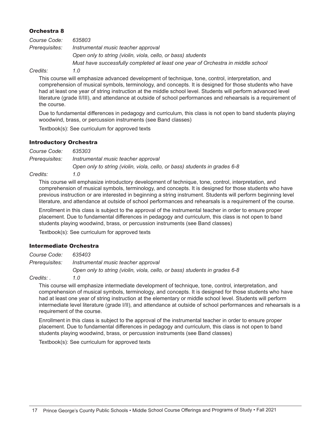#### Orchestra 8

| Course Code:   | 635803                                                                           |
|----------------|----------------------------------------------------------------------------------|
| Prerequisites: | Instrumental music teacher approval                                              |
|                | Open only to string (violin, viola, cello, or bass) students                     |
|                | Must have successfully completed at least one year of Orchestra in middle school |
| $Crad$ iter    |                                                                                  |

*Credits: 1.0*

This course will emphasize advanced development of technique, tone, control, interpretation, and comprehension of musical symbols, terminology, and concepts. It is designed for those students who have had at least one year of string instruction at the middle school level. Students will perform advanced level literature (grade II/III), and attendance at outside of school performances and rehearsals is a requirement of the course.

Due to fundamental differences in pedagogy and curriculum, this class is not open to band students playing woodwind, brass, or percussion instruments (see Band classes)

Textbook(s): See curriculum for approved texts

#### Introductory Orchestra

*Course Code: 635303 Prerequisites: Instrumental music teacher approval Open only to string (violin, viola, cello, or bass) students in grades 6-8*

*Credits: 1.0*

This course will emphasize introductory development of technique, tone, control, interpretation, and comprehension of musical symbols, terminology, and concepts. It is designed for those students who have previous instruction or are interested in beginning a string instrument. Students will perform beginning level literature, and attendance at outside of school performances and rehearsals is a requirement of the course.

Enrollment in this class is subject to the approval of the instrumental teacher in order to ensure proper placement. Due to fundamental differences in pedagogy and curriculum, this class is not open to band students playing woodwind, brass, or percussion instruments (see Band classes)

Textbook(s): See curriculum for approved texts

#### Intermediate Orchestra

| Course Code:   | 635403                                                                     |
|----------------|----------------------------------------------------------------------------|
| Prerequisites: | Instrumental music teacher approval                                        |
|                | Open only to string (violin, viola, cello, or bass) students in grades 6-8 |

*Credits: . 1.0*

This course will emphasize intermediate development of technique, tone, control, interpretation, and comprehension of musical symbols, terminology, and concepts. It is designed for those students who have had at least one year of string instruction at the elementary or middle school level. Students will perform intermediate level literature (grade I/II), and attendance at outside of school performances and rehearsals is a requirement of the course.

Enrollment in this class is subject to the approval of the instrumental teacher in order to ensure proper placement. Due to fundamental differences in pedagogy and curriculum, this class is not open to band students playing woodwind, brass, or percussion instruments (see Band classes)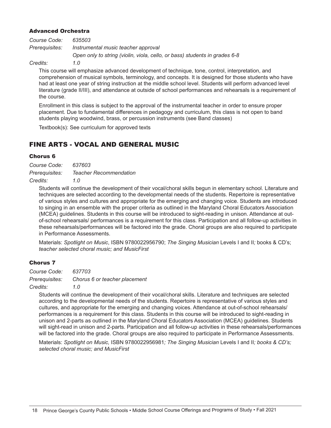#### Advanced Orchestra

| Course Code:   | 635503                                                                     |
|----------------|----------------------------------------------------------------------------|
| Prerequisites: | Instrumental music teacher approval                                        |
|                | Open only to string (violin, viola, cello, or bass) students in grades 6-8 |

#### *Credits: 1.0*

This course will emphasize advanced development of technique, tone, control, interpretation, and comprehension of musical symbols, terminology, and concepts. It is designed for those students who have had at least one year of string instruction at the middle school level. Students will perform advanced level literature (grade II/III), and attendance at outside of school performances and rehearsals is a requirement of the course.

Enrollment in this class is subject to the approval of the instrumental teacher in order to ensure proper placement. Due to fundamental differences in pedagogy and curriculum, this class is not open to band students playing woodwind, brass, or percussion instruments (see Band classes)

Textbook(s): See curriculum for approved texts

#### FINE ARTS - VOCAL AND GENERAL MUSIC

#### Chorus 6

*Course Code: 637603 Prerequisites: Teacher Recommendation Credits: 1.0*

Students will continue the development of their vocal/choral skills begun in elementary school. Literature and techniques are selected according to the developmental needs of the students. Repertoire is representative of various styles and cultures and appropriate for the emerging and changing voice. Students are introduced to singing in an ensemble with the proper criteria as outlined in the Maryland Choral Educators Association (MCEA) guidelines. Students in this course will be introduced to sight-reading in unison. Attendance at outof-school rehearsals/ performances is a requirement for this class. Participation and all follow-up activities in these rehearsals/performances will be factored into the grade. Choral groups are also required to participate in Performance Assessments.

Materials: *Spotlight on Music*, ISBN 9780022956790; *The Singing Musician* Levels I and II*;* books & CD's; *teacher selected choral music; and MusicFirst*

#### Chorus 7

*Course Code: 637703 Prerequisites: Chorus 6 or teacher placement Credits: 1.0*

Students will continue the development of their vocal/choral skills. Literature and techniques are selected according to the developmental needs of the students. Repertoire is representative of various styles and cultures, and appropriate for the emerging and changing voices. Attendance at out-of-school rehearsals/ performances is a requirement for this class. Students in this course will be introduced to sight-reading in unison and 2-parts as outlined in the Maryland Choral Educators Association (MCEA) guidelines. Students will sight-read in unison and 2-parts. Participation and all follow-up activities in these rehearsals/performances will be factored into the grade. Choral groups are also required to participate in Performance Assessments.

Materials: *Spotlight on Music,* ISBN 9780022956981*; The Singing Musician* Levels I and II*; books & CD's; selected choral music; and MusicFirst*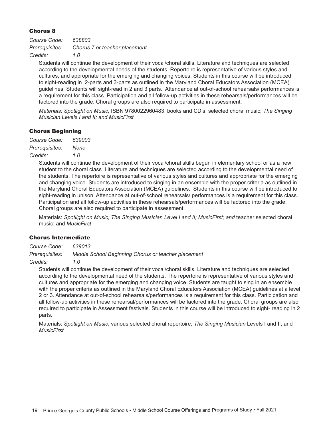#### Chorus 8

| Course Code:   | 638803                        |
|----------------|-------------------------------|
| Prerequisites: | Chorus 7 or teacher placement |
| Credits:       | 1.0                           |

Students will continue the development of their vocal/choral skills. Literature and techniques are selected according to the developmental needs of the students. Repertoire is representative of various styles and cultures, and appropriate for the emerging and changing voices. Students in this course will be introduced to sight-reading in 2-parts and 3-parts as outlined in the Maryland Choral Educators Association (MCEA) guidelines. Students will sight-read in 2 and 3 parts. Attendance at out-of-school rehearsals/ performances is a requirement for this class. Participation and all follow-up activities in these rehearsals/performances will be factored into the grade. Choral groups are also required to participate in assessment.

*Materials: Spotlight on Music,* ISBN 9780022960483, books and CD's; selected choral music; *The Singing Musician Levels I and II; and MusicFirst*

#### Chorus Beginning

*Course Code: 639003 Prerequisites: None Credits: 1.0*

> Students will continue the development of their vocal/choral skills begun in elementary school or as a new student to the choral class. Literature and techniques are selected according to the developmental need of the students. The repertoire is representative of various styles and cultures and appropriate for the emerging and changing voice. Students are introduced to singing in an ensemble with the proper criteria as outlined in the Maryland Choral Educators Association (MCEA) guidelines. Students in this course will be introduced to sight-reading in unison. Attendance at out-of-school rehearsals/ performances is a requirement for this class. Participation and all follow-up activities in these rehearsals/performances will be factored into the grade. Choral groups are also required to participate in assessment.

Materials: Spotlight on Music; The Singing Musician Level I and II; MusicFirst; and teacher selected choral music; and *MusicFirst*

#### Chorus Intermediate

*Course Code: 639013 Prerequisites: Middle School Beginning Chorus or teacher placement Credits: 1.0*

Students will continue the development of their vocal/choral skills. Literature and techniques are selected according to the developmental need of the students. The repertoire is representative of various styles and cultures and appropriate for the emerging and changing voice. Students are taught to sing in an ensemble with the proper criteria as outlined in the Maryland Choral Educators Association (MCEA) guidelines at a level 2 or 3. Attendance at out-of-school rehearsals/performances is a requirement for this class. Participation and all follow-up activities in these rehearsal/performances will be factored into the grade. Choral groups are also required to participate in Assessment festivals. Students in this course will be introduced to sight- reading in 2 parts.

Materials: *Spotlight on Music*, various selected choral repertoire; *The Singing Musician* Levels I and II; and *MusicFirst*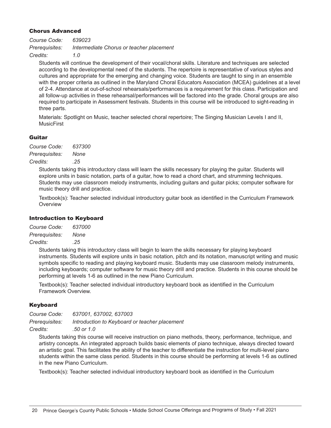#### Chorus Advanced

| Course Code:   | 639023                                   |
|----------------|------------------------------------------|
| Prerequisites: | Intermediate Chorus or teacher placement |
| Credits:       | 1 O                                      |

Students will continue the development of their vocal/choral skills. Literature and techniques are selected according to the developmental need of the students. The repertoire is representative of various styles and cultures and appropriate for the emerging and changing voice. Students are taught to sing in an ensemble with the proper criteria as outlined in the Maryland Choral Educators Association (MCEA) guidelines at a level of 2-4. Attendance at out-of-school rehearsals/performances is a requirement for this class. Participation and all follow-up activities in these rehearsal/performances will be factored into the grade. Choral groups are also required to participate in Assessment festivals. Students in this course will be introduced to sight-reading in three parts.

Materials: Spotlight on Music, teacher selected choral repertoire; The Singing Musician Levels I and II, MusicFirst

#### Guitar

*Course Code: 637300 Prerequisites: None Credits: .25*

> Students taking this introductory class will learn the skills necessary for playing the guitar. Students will explore units in basic notation, parts of a guitar, how to read a chord chart, and strumming techniques. Students may use classroom melody instruments, including guitars and guitar picks; computer software for music theory drill and practice.

> Textbook(s): Teacher selected individual introductory guitar book as identified in the Curriculum Framework **Overview**

#### Introduction to Keyboard

*Course Code: 637000*

*Prerequisites: None*

*Credits: .25*

Students taking this introductory class will begin to learn the skills necessary for playing keyboard instruments. Students will explore units in basic notation, pitch and its notation, manuscript writing and music symbols specific to reading and playing keyboard music. Students may use classroom melody instruments, including keyboards; computer software for music theory drill and practice. Students in this course should be performing at levels 1-6 as outlined in the new Piano Curriculum.

Textbook(s): Teacher selected individual introductory keyboard book as identified in the Curriculum Framework Overview.

#### **Keyboard**

*Course Code: 637001, 637002, 637003*

*Prerequisites: Introduction to Keyboard or teacher placement*

*Credits: .50 or 1.0*

Students taking this course will receive instruction on piano methods, theory, performance, technique, and artistry concepts. An integrated approach builds basic elements of piano technique, always directed toward an artistic goal. This facilitates the ability of the teacher to differentiate the instruction for multi-level piano students within the same class period. Students in this course should be performing at levels 1-6 as outlined in the new Piano Curriculum.

Textbook(s): Teacher selected individual introductory keyboard book as identified in the Curriculum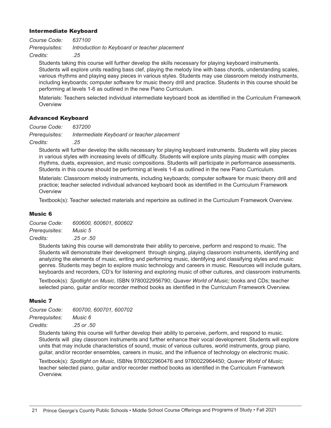#### Intermediate Keyboard

*Course Code: 637100 Prerequisites: Introduction to Keyboard or teacher placement Credits: .25*

Students taking this course will further develop the skills necessary for playing keyboard instruments. Students will explore units reading bass clef, playing the melody line with bass chords, understanding scales, various rhythms and playing easy pieces in various styles. Students may use classroom melody instruments, including keyboards; computer software for music theory drill and practice. Students in this course should be performing at levels 1-6 as outlined in the new Piano Curriculum.

Materials: Teachers selected individual intermediate keyboard book as identified in the Curriculum Framework **Overview** 

#### Advanced Keyboard

*Course Code: 637200*

*Prerequisites: Intermediate Keyboard or teacher placement*

*Credits: .25*

Students will further develop the skills necessary for playing keyboard instruments. Students will play pieces in various styles with increasing levels of difficulty. Students will explore units playing music with complex rhythms, duets, expression, and music compositions. Students will participate in performance assessments. Students in this course should be performing at levels 1-6 as outlined in the new Piano Curriculum.

Materials: Classroom melody instruments, including keyboards; computer software for music theory drill and practice; teacher selected individual advanced keyboard book as identified in the Curriculum Framework **Overview** 

Textbook(s): Teacher selected materials and repertoire as outlined in the Curriculum Framework Overview.

#### Music 6

*Course Code: 600600, 600601, 600602 Prerequisites: Music 5*

*Credits: .25 or .50*

Students taking this course will demonstrate their ability to perceive, perform and respond to music. The Students will demonstrate their development through singing, playing classroom instruments, identifying and analyzing the elements of music, writing and performing music, identifying and classifying styles and music genres. Students may begin to explore music technology and careers in music. Resources will include guitars, keyboards and recorders, CD's for listening and exploring music of other cultures, and classroom instruments.

Textbook(s): *Spotlight on Music*, ISBN 9780022956790; *Quaver World of Music;* books and CDs; teacher selected piano, guitar and/or recorder method books as identified in the Curriculum Framework Overview.

#### Music 7

| Course Code:   | 600700, 600701, 600702 |
|----------------|------------------------|
| Prerequisites: | <i>Music</i> 6         |
| Credits:       | .25 or .50             |

Students taking this course will further develop their ability to perceive, perform, and respond to music. Students will play classroom instruments and further enhance their vocal development. Students will explore units that may include characteristics of sound, music of various cultures, world instruments, group piano, guitar, and/or recorder ensembles, careers in music, and the influence of technology on electronic music.

Textbook(s): *Spotlight on Music*, ISBNs 9780022960476 and 9780022964450; *Quaver World of Music;*  teacher selected piano, guitar and/or recorder method books as identified in the Curriculum Framework Overview.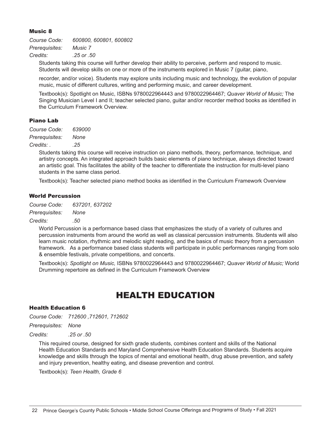#### Music 8

*Course Code: 600800, 600801, 600802 Prerequisites: Music 7 Credits: .25 or .50*

Students taking this course will further develop their ability to perceive, perform and respond to music. Students will develop skills on one or more of the instruments explored in Music 7 (guitar, piano,

recorder, and/or voice). Students may explore units including music and technology, the evolution of popular music, music of different cultures, writing and performing music, and career development.

Textbook(s): Spotlight on Music, ISBNs 9780022964443 and 9780022964467; *Quaver World of Music;* The Singing Musician Level I and II; teacher selected piano, guitar and/or recorder method books as identified in the Curriculum Framework Overview.

#### Piano Lab

*Course Code: 639000 Prerequisites: None Credits: . .25*

> Students taking this course will receive instruction on piano methods, theory, performance, technique, and artistry concepts. An integrated approach builds basic elements of piano technique, always directed toward an artistic goal. This facilitates the ability of the teacher to differentiate the instruction for multi-level piano students in the same class period.

Textbook(s): Teacher selected piano method books as identified in the Curriculum Framework Overview

#### World Percussion

*Course Code: 637201, 637202*

*Prerequisites: None*

#### *Credits: .50*

World Percussion is a performance based class that emphasizes the study of a variety of cultures and percussion instruments from around the world as well as classical percussion instruments. Students will also learn music notation, rhythmic and melodic sight reading, and the basics of music theory from a percussion framework. As a performance based class students will participate in public performances ranging from solo & ensemble festivals, private competitions, and concerts.

Textbook(s): *Spotlight on Music,* ISBNs 9780022964443 and 9780022964467; *Quaver World of Music;* World Drumming repertoire as defined in the Curriculum Framework Overview

### HEALTH EDUCATION

#### Health Education 6

*Course Code: 712600 ,712601, 712602*

*Prerequisites: None*

*Credits: .25 or .50*

This required course, designed for sixth grade students, combines content and skills of the National Health Education Standards and Maryland Comprehensive Health Education Standards. Students acquire knowledge and skills through the topics of mental and emotional health, drug abuse prevention, and safety and injury prevention, healthy eating, and disease prevention and control.

Textbook(s): *Teen Health, Grade 6*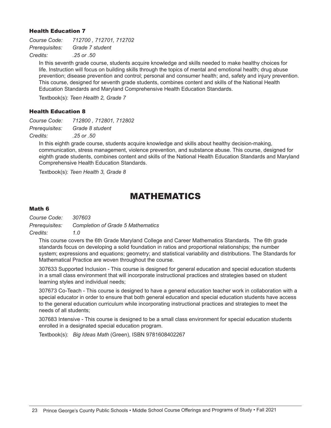#### Health Education 7

*Course Code: 712700 , 712701, 712702 Prerequisites: Grade 7 student Credits: .25 or .50*

In this seventh grade course, students acquire knowledge and skills needed to make healthy choices for life. Instruction will focus on building skills through the topics of mental and emotional health; drug abuse prevention; disease prevention and control; personal and consumer health; and, safety and injury prevention. This course, designed for seventh grade students, combines content and skills of the National Health Education Standards and Maryland Comprehensive Health Education Standards.

Textbook(s): *Teen Health 2, Grade 7*

#### Health Education 8

*Course Code: 712800 , 712801, 712802 Prerequisites: Grade 8 student Credits: .25 or .50*

In this eighth grade course, students acquire knowledge and skills about healthy decision-making, communication, stress management, violence prevention, and substance abuse. This course, designed for eighth grade students, combines content and skills of the National Health Education Standards and Maryland Comprehensive Health Education Standards.

Textbook(s): *Teen Health 3, Grade 8*

### MATHEMATICS

#### Math 6

*Course Code: 307603 Prerequisites: Completion of Grade 5 Mathematics Credits: 1.0*

This course covers the 6th Grade Maryland College and Career Mathematics Standards. The 6th grade standards focus on developing a solid foundation in ratios and proportional relationships; the number system; expressions and equations; geometry; and statistical variability and distributions. The Standards for Mathematical Practice are woven throughout the course.

307633 Supported Inclusion - This course is designed for general education and special education students in a small class environment that will incorporate instructional practices and strategies based on student learning styles and individual needs;

307673 Co-Teach - This course is designed to have a general education teacher work in collaboration with a special educator in order to ensure that both general education and special education students have access to the general education curriculum while incorporating instructional practices and strategies to meet the needs of all students;

307683 Intensive - This course is designed to be a small class environment for special education students enrolled in a designated special education program.

Textbook(s): *Big Ideas Math* (Green), ISBN 9781608402267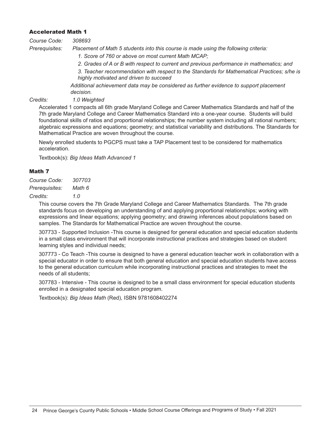#### Accelerated Math 1

| Course Code: | 308693 |
|--------------|--------|
|--------------|--------|

*Prerequisites: Placement of Math 5 students into this course is made using the following criteria:*

- *1. Score of 760 or above on most current Math MCAP;*
- *2. Grades of A or B with respect to current and previous performance in mathematics; and*
- *3. Teacher recommendation with respect to the Standards for Mathematical Practices; s/he is highly motivated and driven to succeed*

*Additional achievement data may be considered as further evidence to support placement decision.*

*Credits: 1.0 Weighted*

Accelerated 1 compacts all 6th grade Maryland College and Career Mathematics Standards and half of the 7th grade Maryland College and Career Mathematics Standard into a one-year course. Students will build foundational skills of ratios and proportional relationships; the number system including all rational numbers; algebraic expressions and equations; geometry; and statistical variability and distributions. The Standards for Mathematical Practice are woven throughout the course.

Newly enrolled students to PGCPS must take a TAP Placement test to be considered for mathematics acceleration.

Textbook(s): *Big Ideas Math Advanced 1*

#### Math 7

*Course Code: 307703 Prerequisites: Math 6*

*Credits: 1.0*

This course covers the 7th Grade Maryland College and Career Mathematics Standards. The 7th grade standards focus on developing an understanding of and applying proportional relationships; working with expressions and linear equations; applying geometry; and drawing inferences about populations based on samples. The Standards for Mathematical Practice are woven throughout the course.

307733 - Supported Inclusion -This course is designed for general education and special education students in a small class environment that will incorporate instructional practices and strategies based on student learning styles and individual needs;

307773 - Co Teach -This course is designed to have a general education teacher work in collaboration with a special educator in order to ensure that both general education and special education students have access to the general education curriculum while incorporating instructional practices and strategies to meet the needs of all students;

307783 - Intensive - This course is designed to be a small class environment for special education students enrolled in a designated special education program.

Textbook(s): *Big Ideas Math* (Red), ISBN 9781608402274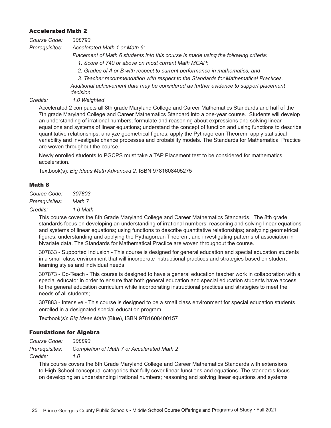#### Accelerated Math 2

| Course Code:   | 308793                                                                              |  |
|----------------|-------------------------------------------------------------------------------------|--|
| Prerequisites: | Accelerated Math 1 or Math 6;                                                       |  |
|                | Placement of Math 6 students into this course is made using the following criteria: |  |
|                | 1. Score of 740 or above on most current Math MCAP;                                 |  |
|                | 2. Grades of A or B with respect to current performance in mathematics; and         |  |
|                | 3. Teacher recommendation with respect to the Standards for Mathematical Practices. |  |

*Additional achievement data may be considered as further evidence to support placement decision.*

*Credits: 1.0 Weighted*

Accelerated 2 compacts all 8th grade Maryland College and Career Mathematics Standards and half of the 7th grade Maryland College and Career Mathematics Standard into a one-year course. Students will develop an understanding of irrational numbers; formulate and reasoning about expressions and solving linear equations and systems of linear equations; understand the concept of function and using functions to describe quantitative relationships; analyze geometrical figures; apply the Pythagorean Theorem; apply statistical variability and investigate chance processes and probability models. The Standards for Mathematical Practice are woven throughout the course.

Newly enrolled students to PGCPS must take a TAP Placement test to be considered for mathematics acceleration.

Textbook(s): *Big Ideas Math Advanced 2,* ISBN 9781608405275

#### Math 8

*Course Code: 307803 Prerequisites: Math 7*

*Credits: 1.0 Math*

This course covers the 8th Grade Maryland College and Career Mathematics Standards. The 8th grade standards focus on developing an understanding of irrational numbers; reasoning and solving linear equations and systems of linear equations; using functions to describe quantitative relationships; analyzing geometrical figures; understanding and applying the Pythagorean Theorem; and investigating patterns of association in bivariate data. The Standards for Mathematical Practice are woven throughout the course.

307833 - Supported Inclusion - This course is designed for general education and special education students in a small class environment that will incorporate instructional practices and strategies based on student learning styles and individual needs;

307873 - Co-Teach - This course is designed to have a general education teacher work in collaboration with a special educator in order to ensure that both general education and special education students have access to the general education curriculum while incorporating instructional practices and strategies to meet the needs of all students;

307883 - Intensive *-* This course is designed to be a small class environment for special education students enrolled in a designated special education program.

Textbook(s): *Big Ideas Math* (Blue), ISBN 9781608400157

#### Foundations for Algebra

*Course Code: 308893*

*Prerequisites: Completion of Math 7 or Accelerated Math 2*

*Credits: 1.0*

This course covers the 8th Grade Maryland College and Career Mathematics Standards with extensions to High School conceptual categories that fully cover linear functions and equations. The standards focus on developing an understanding irrational numbers; reasoning and solving linear equations and systems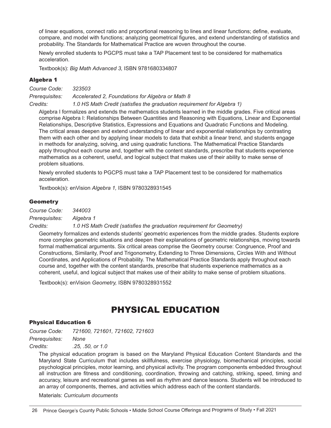of linear equations, connect ratio and proportional reasoning to lines and linear functions; define, evaluate, compare, and model with functions; analyzing geometrical figures, and extend understanding of statistics and probability. The Standards for Mathematical Practice are woven throughout the course.

Newly enrolled students to PGCPS must take a TAP Placement test to be considered for mathematics acceleration.

Textbook(s): *Big Math Advanced 3,* ISBN 9781680334807

#### Algebra 1

*Course Code: 323503 Prerequisites: Accelerated 2, Foundations for Algebra or Math 8 Credits: 1.0 HS Math Credit (satisfies the graduation requirement for Algebra 1)*

Algebra I formalizes and extends the mathematics students learned in the middle grades. Five critical areas comprise Algebra I: Relationships Between Quantities and Reasoning with Equations, Linear and Exponential Relationships, Descriptive Statistics, Expressions and Equations and Quadratic Functions and Modeling. The critical areas deepen and extend understanding of linear and exponential relationships by contrasting them with each other and by applying linear models to data that exhibit a linear trend, and students engage in methods for analyzing, solving, and using quadratic functions. The Mathematical Practice Standards apply throughout each course and, together with the content standards, prescribe that students experience mathematics as a coherent, useful, and logical subject that makes use of their ability to make sense of problem situations.

Newly enrolled students to PGCPS must take a TAP Placement test to be considered for mathematics acceleration.

Textbook(s): enVision *Algebra 1,* ISBN 9780328931545

#### **Geometry**

*Course Code: 344003*

*Prerequisites: Algebra 1* 

*Credits: 1.0 HS Math Credit (satisfies the graduation requirement for Geometry)*

Geometry formalizes and extends students' geometric experiences from the middle grades. Students explore more complex geometric situations and deepen their explanations of geometric relationships, moving towards formal mathematical arguments. Six critical areas comprise the Geometry course: Congruence, Proof and Constructions, Similarity, Proof and Trigonometry, Extending to Three Dimensions, Circles With and Without Coordinates, and Applications of Probability. The Mathematical Practice Standards apply throughout each course and, together with the content standards, prescribe that students experience mathematics as a coherent, useful, and logical subject that makes use of their ability to make sense of problem situations.

Textbook(s): enVision *Geometry,* ISBN 9780328931552

### PHYSICAL EDUCATION

#### Physical Education 6

*Course Code: 721600, 721601, 721602, 721603 Prerequisites: None*

*Credits: .25, .50, or 1.0*

The physical education program is based on the Maryland Physical Education Content Standards and the Maryland State Curriculum that includes skillfulness, exercise physiology, biomechanical principles, social psychological principles, motor learning, and physical activity. The program components embedded throughout all instruction are fitness and conditioning, coordination, throwing and catching, striking, speed, timing and accuracy, leisure and recreational games as well as rhythm and dance lessons. Students will be introduced to an array of components, themes, and activities which address each of the content standards.

Materials: *Curriculum documents*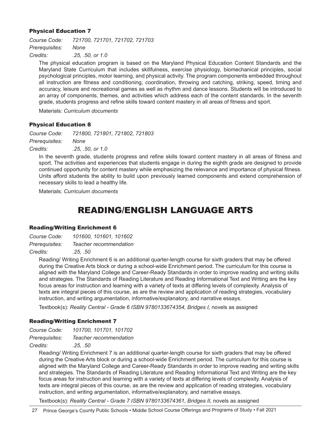#### Physical Education 7

*Course Code: 721700, 721701, 721702, 721703 Prerequisites: None Credits: .25, .50, or 1.0*

The physical education program is based on the Maryland Physical Education Content Standards and the Maryland State Curriculum that includes skillfulness, exercise physiology, biomechanical principles, social psychological principles, motor learning, and physical activity. The program components embedded throughout all instruction are fitness and conditioning, coordination, throwing and catching, striking, speed, timing and accuracy, leisure and recreational games as well as rhythm and dance lessons. Students will be introduced to an array of components, themes, and activities which address each of the content standards. In the seventh grade, students progress and refine skills toward content mastery in all areas of fitness and sport.

Materials: *Curriculum documents*

#### Physical Education 8

*Course Code: 721800, 721801, 721802, 721803 Prerequisites: None*

*Credits: .25, .50, or 1.0*

In the seventh grade, students progress and refine skills toward content mastery in all areas of fitness and sport. The activities and experiences that students engage in during the eighth grade are designed to provide continued opportunity for content mastery while emphasizing the relevance and importance of physical fitness. Units afford students the ability to build upon previously learned components and extend comprehension of necessary skills to lead a healthy life.

Materials: *Curriculum documents*

### READING/ENGLISH LANGUAGE ARTS

#### Reading/Writing Enrichment 6

| Course Code:   | 101600, 101601, 101602 |
|----------------|------------------------|
| Prerequisites: | Teacher recommendation |
|                |                        |

*Credits: .25, .50*

Reading/ Writing Enrichment 6 is an additional quarter-length course for sixth graders that may be offered during the Creative Arts block or during a school-wide Enrichment period. The curriculum for this course is aligned with the Maryland College and Career-Ready Standards in order to improve reading and writing skills and strategies. The Standards of Reading Literature and Reading Informational Text and Writing are the key focus areas for instruction and learning with a variety of texts at differing levels of complexity. Analysis of texts are integral pieces of this course, as are the review and application of reading strategies, vocabulary instruction, and writing argumentation, informative/explanatory, and narrative essays.

Textbook(s): *Reality Central - Grade 6 ISBN 9780133674354, Bridges I,* novels as assigned

#### Reading/Writing Enrichment 7

| Course Code:   | 101700, 101701, 101702 |
|----------------|------------------------|
| Prerequisites: | Teacher recommendation |
|                |                        |

*Credits: .25, .50*

Reading/ Writing Enrichment 7 is an additional quarter-length course for sixth graders that may be offered during the Creative Arts block or during a school-wide Enrichment period. The curriculum for this course is aligned with the Maryland College and Career-Ready Standards in order to improve reading and writing skills and strategies. The Standards of Reading Literature and Reading Informational Text and Writing are the key focus areas for instruction and learning with a variety of texts at differing levels of complexity. Analysis of texts are integral pieces of this course, as are the review and application of reading strategies, vocabulary instruction, and writing argumentation, informative/explanatory, and narrative essays.

Textbook(s): *Reality Central - Grade 7 ISBN 9780133674361, Bridges II,* novels as assigned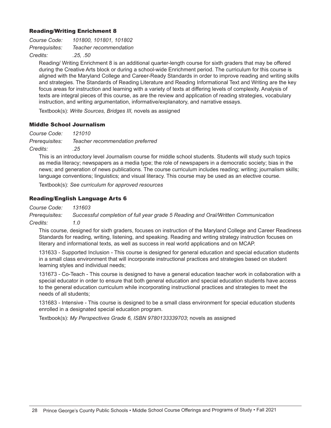#### Reading/Writing Enrichment 8

| Course Code:   | 101800, 101801, 101802 |
|----------------|------------------------|
| Prerequisites: | Teacher recommendation |
| Credits:       | .25. .50               |

Reading/ Writing Enrichment 8 is an additional quarter-length course for sixth graders that may be offered during the Creative Arts block or during a school-wide Enrichment period. The curriculum for this course is aligned with the Maryland College and Career-Ready Standards in order to improve reading and writing skills and strategies. The Standards of Reading Literature and Reading Informational Text and Writing are the key focus areas for instruction and learning with a variety of texts at differing levels of complexity. Analysis of texts are integral pieces of this course, as are the review and application of reading strategies, vocabulary instruction, and writing argumentation, informative/explanatory, and narrative essays.

Textbook(s): *Write Sources, Bridges III,* novels as assigned

#### Middle School Journalism

*Course Code: 121010 Prerequisites: Teacher recommendation preferred Credits: .25*

This is an introductory level Journalism course for middle school students. Students will study such topics as media literacy; newspapers as a media type; the role of newspapers in a democratic society; bias in the news; and generation of news publications. The course curriculum includes reading; writing; journalism skills; language conventions; linguistics; and visual literacy. This course may be used as an elective course.

Textbook(s): *See curriculum for approved resources*

#### Reading/English Language Arts 6

*Course Code: 131603*

*Prerequisites: Successful completion of full year grade 5 Reading and Oral/Written Communication Credits: 1.0*

This course, designed for sixth graders, focuses on instruction of the Maryland College and Career Readiness Standards for reading, writing, listening, and speaking. Reading and writing strategy instruction focuses on literary and informational texts, as well as success in real world applications and on MCAP.

131633 - Supported Inclusion - This course is designed for general education and special education students in a small class environment that will incorporate instructional practices and strategies based on student learning styles and individual needs;

131673 - Co-Teach - This course is designed to have a general education teacher work in collaboration with a special educator in order to ensure that both general education and special education students have access to the general education curriculum while incorporating instructional practices and strategies to meet the needs of all students;

131683 - Intensive - This course is designed to be a small class environment for special education students enrolled in a designated special education program.

Textbook(s): *My Perspectives Grade 6, ISBN 9780133339703*; novels as assigned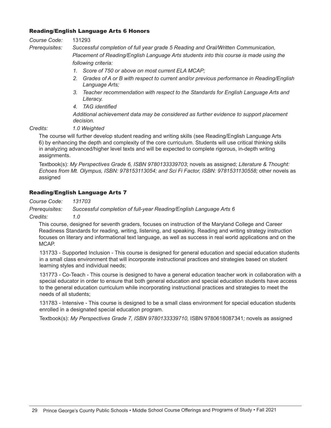#### Reading/English Language Arts 6 Honors

#### *Course Code:* 131293

*Prerequisites: Successful completion of full year grade 5 Reading and Oral/Written Communication, Placement of Reading/English Language Arts students into this course is made using the following criteria:*

- *1. Score of 750 or above on most current ELA MCAP;*
- *2. Grades of A or B with respect to current and/or previous performance in Reading/English Language Arts;*
- *3. Teacher recommendation with respect to the Standards for English Language Arts and Literacy.*
- *4. TAG identified*

*Additional achievement data may be considered as further evidence to support placement decision.*

*Credits: 1.0 Weighted*

The course will further develop student reading and writing skills (see Reading/English Language Arts 6) by enhancing the depth and complexity of the core curriculum. Students will use critical thinking skills in analyzing advanced/higher level texts and will be expected to complete rigorous, in-depth writing assignments.

Textbook(s): *My Perspectives Grade 6, ISBN 9780133339703*; novels as assigned; *Literature & Thought: Echoes from Mt. Olympus, ISBN: 978153113054; and Sci Fi Factor, ISBN: 9781531130558;* other novels as assigned

#### Reading/English Language Arts 7

*Course Code: 131703*

*Prerequisites: Successful completion of full-year Reading/English Language Arts 6*

*Credits: 1.0*

This course, designed for seventh graders, focuses on instruction of the Maryland College and Career Readiness Standards for reading, writing, listening, and speaking. Reading and writing strategy instruction focuses on literary and informational text language, as well as success in real world applications and on the MCAP.

131733 - Supported Inclusion - This course is designed for general education and special education students in a small class environment that will incorporate instructional practices and strategies based on student learning styles and individual needs;

131773 - Co-Teach - This course is designed to have a general education teacher work in collaboration with a special educator in order to ensure that both general education and special education students have access to the general education curriculum while incorporating instructional practices and strategies to meet the needs of all students;

131783 - Intensive - This course is designed to be a small class environment for special education students enrolled in a designated special education program.

Textbook(s): *My Perspectives Grade 7, ISBN 9780133339710,* ISBN 9780618087341*;* novels as assigned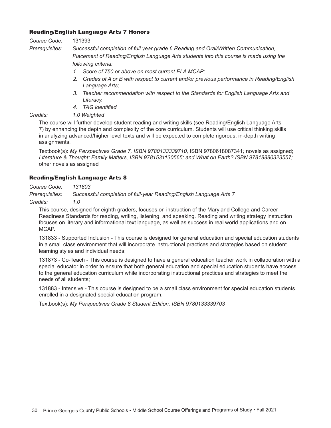#### Reading/English Language Arts 7 Honors

#### *Course Code:* 131393

*Prerequisites: Successful completion of full year grade 6 Reading and Oral/Written Communication, Placement of Reading/English Language Arts students into this course is made using the following criteria:*

- *1. Score of 750 or above on most current ELA MCAP;*
- *2. Grades of A or B with respect to current and/or previous performance in Reading/English Language Arts;*
- *3. Teacher recommendation with respect to the Standards for English Language Arts and Literacy.*
- *4. TAG identified*

*Credits: 1.0 Weighted*

The course will further develop student reading and writing skills (see Reading/English Language Arts 7) by enhancing the depth and complexity of the core curriculum. Students will use critical thinking skills in analyzing advanced/higher level texts and will be expected to complete rigorous, in-depth writing assignments.

Textbook(s): *My Perspectives Grade 7, ISBN 9780133339710,* ISBN 9780618087341*;* novels as assigned; *Literature & Thought: Family Matters, ISBN 9781531130565; and What on Earth? ISBN 97818880323557;*  other novels as assigned

#### Reading/English Language Arts 8

*Course Code: 131803*

*Prerequisites: Successful completion of full-year Reading/English Language Arts 7*

*Credits: 1.0*

This course, designed for eighth graders, focuses on instruction of the Maryland College and Career Readiness Standards for reading, writing, listening, and speaking. Reading and writing strategy instruction focuses on literary and informational text language, as well as success in real world applications and on MCAP.

131833 - Supported Inclusion - This course is designed for general education and special education students in a small class environment that will incorporate instructional practices and strategies based on student learning styles and individual needs;

131873 - Co-Teach - This course is designed to have a general education teacher work in collaboration with a special educator in order to ensure that both general education and special education students have access to the general education curriculum while incorporating instructional practices and strategies to meet the needs of all students;

131883 - Intensive - This course is designed to be a small class environment for special education students enrolled in a designated special education program.

Textbook(s): *My Perspectives Grade 8 Student Edition, ISBN 9780133339703*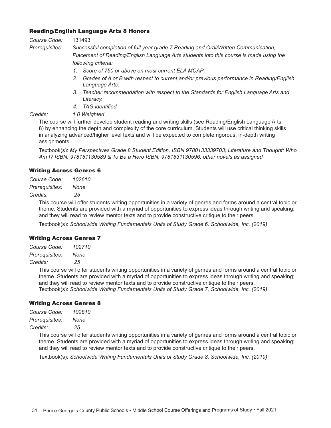#### Reading/English Language Arts 8 Honors

#### *Course Code:* 131493

*Prerequisites: Successful completion of full year grade 7 Reading and Oral/Written Communication, Placement of Reading/English Language Arts students into this course is made using the following criteria:*

- *1. Score of 750 or above on most current ELA MCAP;*
- *2. Grades of A or B with respect to current and/or previous performance in Reading/English Language Arts;*
- *3. Teacher recommendation with respect to the Standards for English Language Arts and Literacy.*
- *4. TAG identified*

*Credits: 1.0 Weighted*

The course will further develop student reading and writing skills (see Reading/English Language Arts 8) by enhancing the depth and complexity of the core curriculum. Students will use critical thinking skills in analyzing advanced/higher level texts and will be expected to complete rigorous, in-depth writing assignments.

Textbook(s): *My Perspectives Grade 8 Student Edition, ISBN 9780133339703; Literature and Thought: Who Am I? ISBN: 978151130589 & To Be a Hero ISBN: 9781531130596; other novels as assigned*

#### Writing Across Genres 6

*Course Code: 102610 Prerequisites: None Credits: .25*

> This course will offer students writing opportunities in a variety of genres and forms around a central topic or theme. Students are provided with a myriad of opportunities to express ideas through writing and speaking; and they will read to review mentor texts and to provide constructive critique to their peers.

Textbook(s): *Schoolwide Writing Fundamentals Units of Study Grade 6, Schoolwide, Inc. (2019)*

#### Writing Across Genres 7

| Course Code:   | 102710 |
|----------------|--------|
| Prerequisites: | None   |
| Credits:       | .25    |

This course will offer students writing opportunities in a variety of genres and forms around a central topic or theme. Students are provided with a myriad of opportunities to express ideas through writing and speaking; and they will read to review mentor texts and to provide constructive critique to their peers. Textbook(s): *Schoolwide Writing Fundamentals Units of Study Grade 7, Schoolwide, Inc. (2019)*

#### Writing Across Genres 8

| Course Code:   | 102810 |
|----------------|--------|
| Prerequisites: | None   |

*Credits: .25*

This course will offer students writing opportunities in a variety of genres and forms around a central topic or theme. Students are provided with a myriad of opportunities to express ideas through writing and speaking; and they will read to review mentor texts and to provide constructive critique to their peers.

Textbook(s): *Schoolwide Writing Fundamentals Units of Study Grade 8, Schoolwide, Inc. (2019)*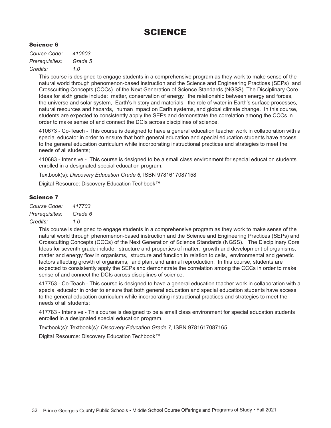### SCIENCE

#### Science 6

*Course Code: 410603 Prerequisites: Grade 5 Credits: 1.0*

> This course is designed to engage students in a comprehensive program as they work to make sense of the natural world through phenomenon-based instruction and the Science and Engineering Practices (SEPs) and Crosscutting Concepts (CCCs) of the Next Generation of Science Standards (NGSS). The Disciplinary Core Ideas for sixth grade include: matter, conservation of energy, the relationship between energy and forces, the universe and solar system, Earth's history and materials, the role of water in Earth's surface processes, natural resources and hazards, human impact on Earth systems, and global climate change. In this course, students are expected to consistently apply the SEPs and demonstrate the correlation among the CCCs in order to make sense of and connect the DCIs across disciplines of science.

> 410673 - Co-Teach - This course is designed to have a general education teacher work in collaboration with a special educator in order to ensure that both general education and special education students have access to the general education curriculum while incorporating instructional practices and strategies to meet the needs of all students;

410683 - Intensive - This course is designed to be a small class environment for special education students enrolled in a designated special education program.

Textbook(s): *Discovery Education Grade 6,* ISBN 9781617087158

Digital Resource: Discovery Education Techbook™

#### Science 7

*Course Code: 417703 Prerequisites: Grade 6 Credits: 1.0*

> This course is designed to engage students in a comprehensive program as they work to make sense of the natural world through phenomenon-based instruction and the Science and Engineering Practices (SEPs) and Crosscutting Concepts (CCCs) of the Next Generation of Science Standards (NGSS). The Disciplinary Core Ideas for seventh grade include: structure and properties of matter, growth and development of organisms, matter and energy flow in organisms, structure and function in relation to cells, environmental and genetic factors affecting growth of organisms, and plant and animal reproduction. In this course, students are expected to consistently apply the SEPs and demonstrate the correlation among the CCCs in order to make sense of and connect the DCIs across disciplines of science.

> 417753 - Co-Teach - This course is designed to have a general education teacher work in collaboration with a special educator in order to ensure that both general education and special education students have access to the general education curriculum while incorporating instructional practices and strategies to meet the needs of all students;

417783 - Intensive - This course is designed to be a small class environment for special education students enrolled in a designated special education program.

Textbook(s): Textbook(s): *Discovery Education Grade 7,* ISBN 9781617087165

Digital Resource: Discovery Education Techbook™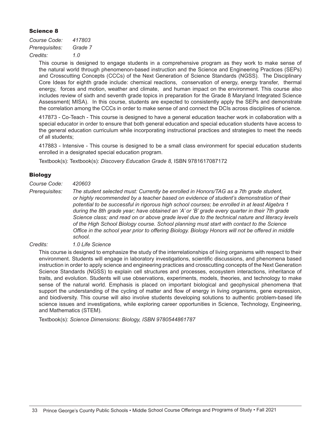#### Science 8

*Course Code: 417803 Prerequisites: Grade 7 Credits: 1.0*

> This course is designed to engage students in a comprehensive program as they work to make sense of the natural world through phenomenon-based instruction and the Science and Engineering Practices (SEPs) and Crosscutting Concepts (CCCs) of the Next Generation of Science Standards (NGSS). The Disciplinary Core Ideas for eighth grade include: chemical reactions, conservation of energy, energy transfer, thermal energy, forces and motion, weather and climate, and human impact on the environment. This course also includes review of sixth and seventh grade topics in preparation for the Grade 8 Maryland Integrated Science Assessment( MISA). In this course, students are expected to consistently apply the SEPs and demonstrate the correlation among the CCCs in order to make sense of and connect the DCIs across disciplines of science.

> 417873 - Co-Teach - This course is designed to have a general education teacher work in collaboration with a special educator in order to ensure that both general education and special education students have access to the general education curriculum while incorporating instructional practices and strategies to meet the needs of all students;

> 417883 - Intensive - This course is designed to be a small class environment for special education students enrolled in a designated special education program.

Textbook(s): Textbook(s): *Discovery Education Grade 8,* ISBN 9781617087172

#### **Biology**

*Course Code: 420603*

*Prerequisites: The student selected must: Currently be enrolled in Honors/TAG as a 7th grade student, or highly recommended by a teacher based on evidence of student's demonstration of their potential to be successful in rigorous high school courses; be enrolled in at least Algebra 1 during the 8th grade year; have obtained an 'A' or 'B' grade every quarter in their 7th grade Science class; and read on or above grade level due to the technical nature and literacy levels of the High School Biology course. School planning must start with contact to the Science Office in the school year prior to offering Biology. Biology Honors will not be offered in middle school.*

#### *Credits: 1.0 Life Science*

This course is designed to emphasize the study of the interrelationships of living organisms with respect to their environment. Students will engage in laboratory investigations, scientific discussions, and phenomena based instruction in order to apply science and engineering practices and crosscutting concepts of the Next Generation Science Standards (NGSS) to explain cell structures and processes, ecosystem interactions, inheritance of traits, and evolution. Students will use observations, experiments, models, theories, and technology to make sense of the natural world. Emphasis is placed on important biological and geophysical phenomena that support the understanding of the cycling of matter and flow of energy in living organisms, gene expression, and biodiversity. This course will also involve students developing solutions to authentic problem-based life science issues and investigations, while exploring career opportunities in Science, Technology, Engineering, and Mathematics (STEM).

Textbook(s): *Science Dimensions: Biology, ISBN 9780544861787*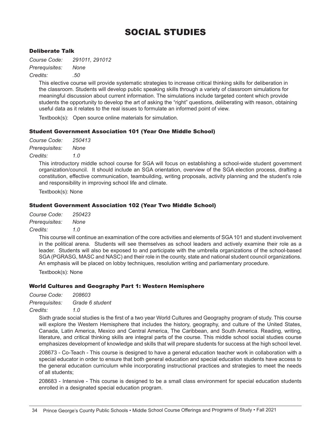### SOCIAL STUDIES

#### Deliberate Talk

*Course Code: 291011, 291012 Prerequisites: None Credits: .50*

> This elective course will provide systematic strategies to increase critical thinking skills for deliberation in the classroom. Students will develop public speaking skills through a variety of classroom simulations for meaningful discussion about current information. The simulations include targeted content which provide students the opportunity to develop the art of asking the "right" questions, deliberating with reason, obtaining useful data as it relates to the real issues to formulate an informed point of view.

Textbook(s): Open source online materials for simulation.

#### Student Government Association 101 (Year One Middle School)

| Course Code:   | 250413 |
|----------------|--------|
| Prerequisites: | None   |
| Credits:       | 1.0    |

This introductory middle school course for SGA will focus on establishing a school-wide student government organization/council. It should include an SGA orientation, overview of the SGA election process, drafting a constitution, effective communication, teambuilding, writing proposals, activity planning and the student's role and responsibility in improving school life and climate.

Textbook(s): None

#### Student Government Association 102 (Year Two Middle School)

| Course Code:   | 250423 |
|----------------|--------|
| Prerequisites: | None   |
|                |        |

*Credits: 1.0*

This course will continue an examination of the core activities and elements of SGA 101 and student involvement in the political arena. Students will see themselves as school leaders and actively examine their role as a leader. Students will also be exposed to and participate with the umbrella organizations of the school-based SGA (PGRASG, MASC and NASC) and their role in the county, state and national student council organizations. An emphasis will be placed on lobby techniques, resolution writing and parliamentary procedure.

Textbook(s): None

#### World Cultures and Geography Part 1: Western Hemisphere

*Course Code: 208603*

*Prerequisites: Grade 6 student*

*Credits: 1.0*

Sixth grade social studies is the first of a two year World Cultures and Geography program of study. This course will explore the Western Hemisphere that includes the history, geography, and culture of the United States, Canada, Latin America, Mexico and Central America, The Caribbean, and South America. Reading, writing, literature, and critical thinking skills are integral parts of the course. This middle school social studies course emphasizes development of knowledge and skills that will prepare students for success at the high school level.

208673 - Co-Teach - This course is designed to have a general education teacher work in collaboration with a special educator in order to ensure that both general education and special education students have access to the general education curriculum while incorporating instructional practices and strategies to meet the needs of all students;

208683 - Intensive - This course is designed to be a small class environment for special education students enrolled in a designated special education program.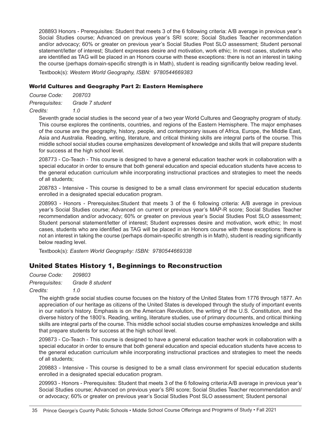208893 Honors - Prerequisites: Student that meets 3 of the 6 following criteria: A/B average in previous year's Social Studies course; Advanced on previous year's SRI score; Social Studies Teacher recommendation and/or advocacy; 60% or greater on previous year's Social Studies Post SLO assessment; Student personal statement/letter of interest; Student expresses desire and motivation, work ethic; In most cases, students who are identified as TAG will be placed in an Honors course with these exceptions: there is not an interest in taking the course (perhaps domain-specific strength is in Math), student is reading significantly below reading level.

Textbook(s): *Western World Geography, ISBN: 9780544669383*

#### World Cultures and Geography Part 2: Eastern Hemisphere

*Course Code: 208703 Prerequisites: Grade 7 student Credits: 1.0*

> Seventh grade social studies is the second year of a two year World Cultures and Geography program of study. This course explores the continents, countries, and regions of the Eastern Hemisphere. The major emphases of the course are the geography, history, people, and contemporary issues of Africa, Europe, the Middle East, Asia and Australia. Reading, writing, literature, and critical thinking skills are integral parts of the course. This middle school social studies course emphasizes development of knowledge and skills that will prepare students for success at the high school level.

> 208773 - Co-Teach - This course is designed to have a general education teacher work in collaboration with a special educator in order to ensure that both general education and special education students have access to the general education curriculum while incorporating instructional practices and strategies to meet the needs of all students;

> 208783 - Intensive - This course is designed to be a small class environment for special education students enrolled in a designated special education program.

> 208993 - Honors - Prerequisites:Student that meets 3 of the 6 following criteria: A/B average in previous year's Social Studies course; Advanced on current or previous year's MAP-R score; Social Studies Teacher recommendation and/or advocacy; 60% or greater on previous year's Social Studies Post SLO assessment; Student personal statement/letter of interest; Student expresses desire and motivation, work ethic; In most cases, students who are identified as TAG will be placed in an Honors course with these exceptions: there is not an interest in taking the course (perhaps domain-specific strength is in Math), student is reading significantly below reading level.

Textbook(s): *Eastern World Geography: ISBN: 9780544669338*

#### United States History 1, Beginnings to Reconstruction

*Course Code: 209803 Prerequisites: Grade 8 student Credits: 1.0*

> The eighth grade social studies course focuses on the history of the United States from 1776 through 1877. An appreciation of our heritage as citizens of the United States is developed through the study of important events in our nation's history. Emphasis is on the American Revolution, the writing of the U.S. Constitution, and the diverse history of the 1800's. Reading, writing, literature studies, use of primary documents, and critical thinking skills are integral parts of the course. This middle school social studies course emphasizes knowledge and skills that prepare students for success at the high school level.

> 209873 - Co-Teach - This course is designed to have a general education teacher work in collaboration with a special educator in order to ensure that both general education and special education students have access to the general education curriculum while incorporating instructional practices and strategies to meet the needs of all students;

> 209883 - Intensive - This course is designed to be a small class environment for special education students enrolled in a designated special education program.

> 209993 - Honors - Prerequisites: Student that meets 3 of the 6 following criteria:A/B average in previous year's Social Studies course; Advanced on previous year's SRI score; Social Studies Teacher recommendation and/ or advocacy; 60% or greater on previous year's Social Studies Post SLO assessment; Student personal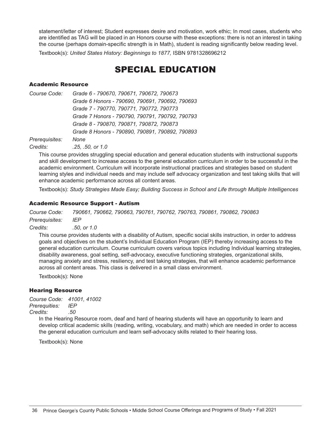statement/letter of interest; Student expresses desire and motivation, work ethic; In most cases, students who are identified as TAG will be placed in an Honors course with these exceptions: there is not an interest in taking the course (perhaps domain-specific strength is in Math), student is reading significantly below reading level.

Textbook(s): *United States History: Beginnings to 1877,* ISBN 9781328696212

### SPECIAL EDUCATION

#### Academic Resource

*Course Code: Grade 6 - 790670, 790671, 790672, 790673 Grade 6 Honors - 790690, 790691, 790692, 790693 Grade 7 - 790770, 790771, 790772, 790773 Grade 7 Honors - 790790, 790791, 790792, 790793 Grade 8 - 790870, 790871, 790872, 790873 Grade 8 Honors - 790890, 790891, 790892, 790893 Prerequisites: None*

*Credits: .25, .50, or 1.0*

This course provides struggling special education and general education students with instructional supports and skill development to increase access to the general education curriculum in order to be successful in the academic environment. Curriculum will incorporate instructional practices and strategies based on student learning styles and individual needs and may include self advocacy organization and test taking skills that will enhance academic performance across all content areas.

Textbook(s): *Study Strategies Made Easy; Building Success in School and Life through Multiple Intelligences*

#### Academic Resource Support - Autism

*Course Code: 790661, 790662, 790663, 790761, 790762, 790763, 790861, 790862, 790863 Prerequisites: IEP Credits: .50, or 1.0*

This course provides students with a disability of Autism, specific social skills instruction, in order to address goals and objectives on the student's Individual Education Program (IEP) thereby increasing access to the general education curriculum. Course curriculum covers various topics including Individual learning strategies, disability awareness, goal setting, self-advocacy, executive functioning strategies, organizational skills, managing anxiety and stress, resiliency, and test taking strategies, that will enhance academic performance across all content areas. This class is delivered in a small class environment.

Textbook(s): None

#### Hearing Resource

*Course Code: 41001, 41002 Prerequities: IEP*

*Credits: .50*

In the Hearing Resource room, deaf and hard of hearing students will have an opportunity to learn and develop critical academic skills (reading, writing, vocabulary, and math) which are needed in order to access the general education curriculum and learn self-advocacy skills related to their hearing loss.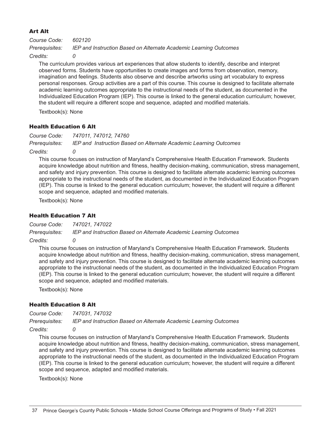#### Art Alt

*Course Code: 602120 Prerequisites: IEP and Instruction Based on Alternate Academic Learning Outcomes*

Credits:

The curriculum provides various art experiences that allow students to identify, describe and interpret observed forms. Students have opportunities to create images and forms from observation, memory, imagination and feelings. Students also observe and describe artworks using art vocabulary to express personal responses. Group activities are a part of this course. This course is designed to facilitate alternate academic learning outcomes appropriate to the instructional needs of the student, as documented in the Individualized Education Program (IEP). This course is linked to the general education curriculum; however, the student will require a different scope and sequence, adapted and modified materials.

Textbook(s): None

#### Health Education 6 Alt

*Course Code: 747011, 747012, 74760 Prerequisites: IEP and Instruction Based on Alternate Academic Learning Outcomes*

*Credits: 0*

This course focuses on instruction of Maryland's Comprehensive Health Education Framework. Students acquire knowledge about nutrition and fitness, healthy decision-making, communication, stress management, and safety and injury prevention. This course is designed to facilitate alternate academic learning outcomes appropriate to the instructional needs of the student, as documented in the Individualized Education Program (IEP). This course is linked to the general education curriculum; however, the student will require a different scope and sequence, adapted and modified materials.

Textbook(s): None

#### Health Education 7 Alt

*Course Code: 747021, 747022* 

*Prerequisites: IEP and Instruction Based on Alternate Academic Learning Outcomes*

*Credits: 0*

This course focuses on instruction of Maryland's Comprehensive Health Education Framework. Students acquire knowledge about nutrition and fitness, healthy decision-making, communication, stress management, and safety and injury prevention. This course is designed to facilitate alternate academic learning outcomes appropriate to the instructional needs of the student, as documented in the Individualized Education Program (IEP). This course is linked to the general education curriculum; however, the student will require a different scope and sequence, adapted and modified materials.

Textbook(s): None

#### Health Education 8 Alt

*Course Code: 747031, 747032*

*Prerequisites: IEP and Instruction Based on Alternate Academic Learning Outcomes*

*Credits: 0*

This course focuses on instruction of Maryland's Comprehensive Health Education Framework. Students acquire knowledge about nutrition and fitness, healthy decision-making, communication, stress management, and safety and injury prevention. This course is designed to facilitate alternate academic learning outcomes appropriate to the instructional needs of the student, as documented in the Individualized Education Program (IEP). This course is linked to the general education curriculum; however, the student will require a different scope and sequence, adapted and modified materials.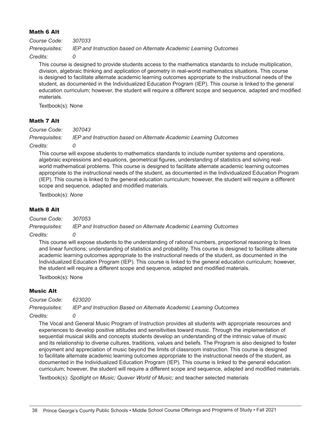#### Math 6 Alt

*Course Code: 307033 Prerequisites: IEP and Instruction based on Alternate Academic Learning Outcomes*

Credits:

This course is designed to provide students access to the mathematics standards to include multiplication, division, algebraic thinking and application of geometry in real-world mathematics situations. This course is designed to facilitate alternate academic learning outcomes appropriate to the instructional needs of the student, as documented in the Individualized Education Program (IEP). This course is linked to the general education curriculum; however, the student will require a different scope and sequence, adapted and modified materials.

Textbook(s): None

#### Math 7 Alt

*Course Code: 307043*

*Prerequisites: IEP and Instruction based on Alternate Academic Learning Outcomes*

*Credits: 0*

This course will expose students to mathematics standards to include number systems and operations, algebraic expressions and equations, geometrical figures, understanding of statistics and solving realworld mathematical problems. This course is designed to facilitate alternate academic learning outcomes appropriate to the instructional needs of the student, as documented in the Individualized Education Program (IEP). This course is linked to the general education curriculum; however, the student will require a different scope and sequence, adapted and modified materials.

Textbook(s): *None*

#### Math 8 Alt

*Course Code: 307053*

*Prerequisites: IEP and Instruction based on Alternate Academic Learning Outcomes*

#### *Credits: 0*

This course will expose students to the understanding of rational numbers, proportional reasoning to lines and linear functions; understanding of statistics and probability. This course is designed to facilitate alternate academic learning outcomes appropriate to the instructional needs of the student, as documented in the Individualized Education Program (IEP). This course is linked to the general education curriculum; however, the student will require a different scope and sequence, adapted and modified materials.

Textbook(s): None

#### Music Alt

*Course Code: 623020*

*Prerequisites: IEP and Instruction Based on Alternate Academic Learning Outcomes*

#### *Credits: 0*

The Vocal and General Music Program of Instruction provides all students with appropriate resources and experiences to develop positive attitudes and sensitivities toward music. Through the implementation of sequential musical skills and concepts students develop an understanding of the intrinsic value of music and its relationship to diverse cultures, traditions, values and beliefs. The Program is also designed to foster enjoyment and appreciation of music beyond the limits of classroom instruction. This course is designed to facilitate alternate academic learning outcomes appropriate to the instructional needs of the student, as documented in the Individualized Education Program (IEP). This course is linked to the general education curriculum; however, the student will require a different scope and sequence, adapted and modified materials.

Textbook(s): *Spotlight on Music; Quaver World of Music;* and teacher selected materials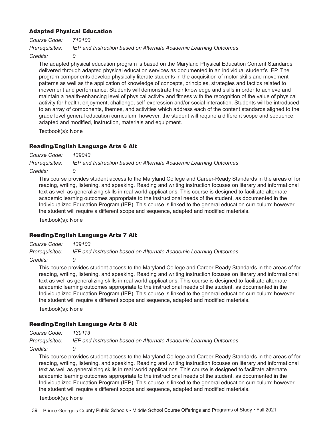#### Adapted Physical Education

*Course Code: 712103 Prerequisites: IEP and Instruction based on Alternate Academic Learning Outcomes*

Credits:

The adapted physical education program is based on the Maryland Physical Education Content Standards delivered through adapted physical education services as documented in an individual student's IEP. The program components develop physically literate students in the acquisition of motor skills and movement patterns as well as the application of knowledge of concepts, principles, strategies and tactics related to movement and performance. Students will demonstrate their knowledge and skills in order to achieve and maintain a health-enhancing level of physical activity and fitness with the recognition of the value of physical activity for health, enjoyment, challenge, self-expression and/or social interaction. Students will be introduced to an array of components, themes, and activities which address each of the content standards aligned to the grade level general education curriculum; however, the student will require a different scope and sequence, adapted and modified, instruction, materials and equipment.

Textbook(s): None

#### Reading/English Language Arts 6 Alt

*Course Code: 139043 Prerequisites: IEP and Instruction based on Alternate Academic Learning Outcomes* 

Credits:

This course provides student access to the Maryland College and Career-Ready Standards in the areas of for reading, writing, listening, and speaking. Reading and writing instruction focuses on literary and informational text as well as generalizing skills in real world applications. This course is designed to facilitate alternate academic learning outcomes appropriate to the instructional needs of the student, as documented in the Individualized Education Program (IEP). This course is linked to the general education curriculum; however, the student will require a different scope and sequence, adapted and modified materials.

Textbook(s): None

#### Reading/English Language Arts 7 Alt

*Course Code: 139103 Prerequisites: IEP and Instruction based on Alternate Academic Learning Outcomes*

*Credits: 0*

This course provides student access to the Maryland College and Career-Ready Standards in the areas of for reading, writing, listening, and speaking. Reading and writing instruction focuses on literary and informational text as well as generalizing skills in real world applications. This course is designed to facilitate alternate academic learning outcomes appropriate to the instructional needs of the student, as documented in the Individualized Education Program (IEP). This course is linked to the general education curriculum; however, the student will require a different scope and sequence, adapted and modified materials.

Textbook(s): None

#### Reading/English Language Arts 8 Alt

*Course Code: 139113*

*Prerequisites: IEP and Instruction based on Alternate Academic Learning Outcomes*

*Credits: 0*

This course provides student access to the Maryland College and Career-Ready Standards in the areas of for reading, writing, listening, and speaking. Reading and writing instruction focuses on literary and informational text as well as generalizing skills in real world applications. This course is designed to facilitate alternate academic learning outcomes appropriate to the instructional needs of the student, as documented in the Individualized Education Program (IEP). This course is linked to the general education curriculum; however, the student will require a different scope and sequence, adapted and modified materials.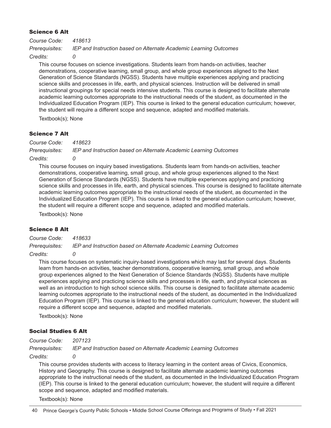#### Science 6 Alt

*Course Code: 418613 Prerequisites: IEP and Instruction based on Alternate Academic Learning Outcomes*

*Credits: 0*

This course focuses on science investigations. Students learn from hands-on activities, teacher demonstrations, cooperative learning, small group, and whole group experiences aligned to the Next Generation of Science Standards (NGSS). Students have multiple experiences applying and practicing science skills and processes in life, earth, and physical sciences. Instruction will be delivered in small instructional groupings for special needs intensive students. This course is designed to facilitate alternate academic learning outcomes appropriate to the instructional needs of the student, as documented in the Individualized Education Program (IEP). This course is linked to the general education curriculum; however, the student will require a different scope and sequence, adapted and modified materials.

Textbook(s); None

#### Science 7 Alt

*Course Code: 418623*

*Prerequisites: IEP and Instruction based on Alternate Academic Learning Outcomes*

#### *Credits: 0*

This course focuses on inquiry based investigations. Students learn from hands-on activities, teacher demonstrations, cooperative learning, small group, and whole group experiences aligned to the Next Generation of Science Standards (NGSS). Students have multiple experiences applying and practicing science skills and processes in life, earth, and physical sciences. This course is designed to facilitate alternate academic learning outcomes appropriate to the instructional needs of the student, as documented in the Individualized Education Program (IEP). This course is linked to the general education curriculum; however, the student will require a different scope and sequence, adapted and modified materials.

Textbook(s): None

#### Science 8 Alt

*Course Code: 418633 Prerequisites: IEP and Instruction based on Alternate Academic Learning Outcomes*

#### *Credits: 0*

This course focuses on systematic inquiry-based investigations which may last for several days. Students learn from hands-on activities, teacher demonstrations, cooperative learning, small group, and whole group experiences aligned to the Next Generation of Science Standards (NGSS). Students have multiple experiences applying and practicing science skills and processes in life, earth, and physical sciences as well as an introduction to high school science skills. This course is designed to facilitate alternate academic learning outcomes appropriate to the instructional needs of the student, as documented in the Individualized Education Program (IEP). This course is linked to the general education curriculum; however, the student will require a different scope and sequence, adapted and modified materials.

Textbook(s): None

#### Social Studies 6 Alt

*Course Code: 207123*

*Prerequisites: IEP and Instruction based on Alternate Academic Learning Outcomes*

*Credits: 0*

This course provides students with access to literacy learning in the content areas of Civics, Economics, History and Geography. This course is designed to facilitate alternate academic learning outcomes appropriate to the instructional needs of the student, as documented in the Individualized Education Program (IEP). This course is linked to the general education curriculum; however, the student will require a different scope and sequence, adapted and modified materials.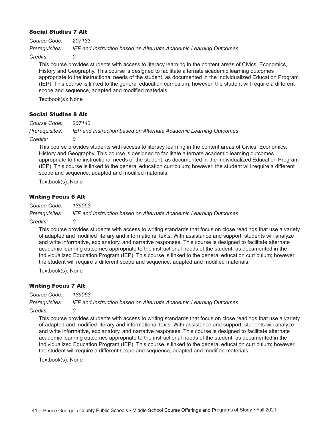#### Social Studies 7 Alt

*Course Code: 207133 Prerequisites: IEP and Instruction based on Alternate Academic Learning Outcomes*

Credits:

This course provides students with access to literacy learning in the content areas of Civics, Economics, History and Geography. This course is designed to facilitate alternate academic learning outcomes appropriate to the instructional needs of the student, as documented in the Individualized Education Program (IEP). This course is linked to the general education curriculum; however, the student will require a different scope and sequence, adapted and modified materials.

Textbook(s): None

#### Social Studies 8 Alt

*Course Code: 207143 Prerequisites: IEP and Instruction based on Alternate Academic Learning Outcomes*

#### *Credits: 0*

This course provides students with access to literacy learning in the content areas of Civics, Economics, History and Geography. This course is designed to facilitate alternate academic learning outcomes appropriate to the instructional needs of the student, as documented in the Individualized Education Program (IEP). This course is linked to the general education curriculum; however, the student will require a different scope and sequence, adapted and modified materials.

Textbook(s): None

#### Writing Focus 6 Alt

*Course Code: 139053 Prerequisites: IEP and Instruction based on Alternate Academic Learning Outcomes*

#### *Credits: 0*

This course provides students with access to writing standards that focus on close readings that use a variety of adapted and modified literary and informational texts. With assistance and support, students will analyze and write informative, explanatory, and narrative responses. This course is designed to facilitate alternate academic learning outcomes appropriate to the instructional needs of the student, as documented in the Individualized Education Program (IEP). This course is linked to the general education curriculum; however, the student will require a different scope and sequence, adapted and modified materials.

Textbook(s): None

#### Writing Focus 7 Alt

*Course Code: 139063*

*Prerequisites: IEP and Instruction based on Alternate Academic Learning Outcomes*

#### *Credits: 0*

This course provides students with access to writing standards that focus on close readings that use a variety of adapted and modified literary and informational texts. With assistance and support, students will analyze and write informative, explanatory, and narrative responses. This course is designed to facilitate alternate academic learning outcomes appropriate to the instructional needs of the student, as documented in the Individualized Education Program (IEP). This course is linked to the general education curriculum; however, the student will require a different scope and sequence, adapted and modified materials.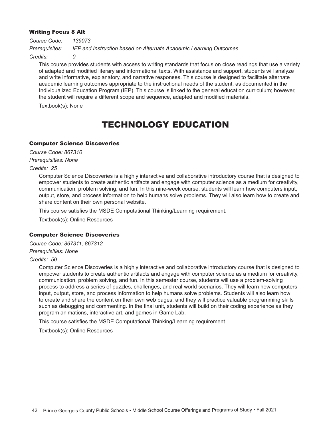#### Writing Focus 8 Alt

*Course Code: 139073 Prerequisites: IEP and Instruction based on Alternate Academic Learning Outcomes*

Credits:

This course provides students with access to writing standards that focus on close readings that use a variety of adapted and modified literary and informational texts. With assistance and support, students will analyze and write informative, explanatory, and narrative responses. This course is designed to facilitate alternate academic learning outcomes appropriate to the instructional needs of the student, as documented in the Individualized Education Program (IEP). This course is linked to the general education curriculum; however, the student will require a different scope and sequence, adapted and modified materials.

Textbook(s): None

### TECHNOLOGY EDUCATION

#### Computer Science Discoveries

*Course Code: 867310 Prerequisities: None*

*Credits: .25* 

Computer Science Discoveries is a highly interactive and collaborative introductory course that is designed to empower students to create authentic artifacts and engage with computer science as a medium for creativity, communication, problem solving, and fun. In this nine-week course, students will learn how computers input, output, store, and process information to help humans solve problems. They will also learn how to create and share content on their own personal website.

This course satisfies the MSDE Computational Thinking/Learning requirement.

Textbook(s): Online Resources

#### Computer Science Discoveries

*Course Code: 867311, 867312 Prerequisities: None*

*Credits: .50*

Computer Science Discoveries is a highly interactive and collaborative introductory course that is designed to empower students to create authentic artifacts and engage with computer science as a medium for creativity, communication, problem solving, and fun. In this semester course, students will use a problem-solving process to address a series of puzzles, challenges, and real-world scenarios. They will learn how computers input, output, store, and process information to help humans solve problems. Students will also learn how to create and share the content on their own web pages, and they will practice valuable programming skills such as debugging and commenting. In the final unit, students will build on their coding experience as they program animations, interactive art, and games in Game Lab.

This course satisfies the MSDE Computational Thinking/Learning requirement.

Textbook(s): Online Resources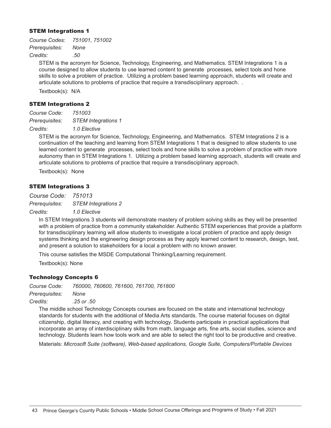#### STEM Integrations 1

*Course Codes: 751001, 751002 Prerequisites: None Credits: .50*

> STEM is the acronym for Science, Technology, Engineering, and Mathematics. STEM Integrations 1 is a course designed to allow students to use learned content to generate processes, select tools and hone skills to solve a problem of practice. Utilizing a problem based learning approach, students will create and articulate solutions to problems of practice that require a transdisciplinary approach. .

Textbook(s): N/A

#### STEM Integrations 2

*Course Code: 751003 Prerequisites: STEM Integrations 1*

*Credits: 1.0 Elective*

STEM is the acronym for Science, Technology, Engineering, and Mathematics. STEM Integrations 2 is a continuation of the teaching and learning from STEM Integrations 1 that is designed to allow students to use learned content to generate processes, select tools and hone skills to solve a problem of practice with more autonomy than in STEM Integrations 1. Utilizing a problem based learning approach, students will create and articulate solutions to problems of practice that require a transdisciplinary approach.

Textbook(s): None

#### STEM Integrations 3

*Course Code: 751013 Prerequisites: STEM Integrations 2*

*Credits: 1.0 Elective*

In STEM Integrations 3 students will demonstrate mastery of problem solving skills as they will be presented with a problem of practice from a community stakeholder. Authentic STEM experiences that provide a platform for transdisciplinary learning will allow students to investigate a local problem of practice and apply design systems thinking and the engineering design process as they apply learned content to research, design, test, and present a solution to stakeholders for a local a problem with no known answer.

This course satisfies the MSDE Computational Thinking/Learning requirement.

Textbook(s): None

#### Technology Concepts 6

*Course Code: 760000, 760600, 761600, 761700, 761800*

*Prerequisites: None*

*Credits: .25 or .50*

The middle school Technology Concepts courses are focused on the state and international technology standards for students with the additional of Media Arts standards. The course material focuses on digital citizenship, digital literacy, and creating with technology. Students participate in practical applications that incorporate an array of interdisciplinary skills from math, language arts, fine arts, social studies, science and technology. Students learn how tools work and are able to select the right tool to be productive and creative.

Materials: *Microsoft Suite (software), Web-based applications, Google Suite, Computers/Portable Devices*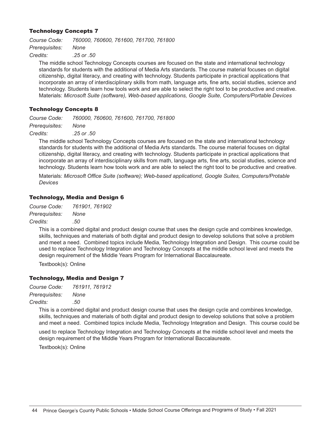#### Technology Concepts 7

*Course Code: 760000, 760600, 761600, 761700, 761800 Prerequisites: None Credits: .25 or .50*

The middle school Technology Concepts courses are focused on the state and international technology standards for students with the additional of Media Arts standards. The course material focuses on digital citizenship, digital literacy, and creating with technology. Students participate in practical applications that incorporate an array of interdisciplinary skills from math, language arts, fine arts, social studies, science and technology. Students learn how tools work and are able to select the right tool to be productive and creative. Materials: *Microsoft Suite (software), Web-based applications, Google Suite, Computers/Portable Devices*

#### Technology Concepts 8

*Course Code: 760000, 760600, 761600, 761700, 761800*

*Prerequisites: None*

*Credits: .25 or .50*

The middle school Technology Concepts courses are focused on the state and international technology standards for students with the additional of Media Arts standards. The course material focuses on digital citizenship, digital literacy, and creating with technology. Students participate in practical applications that incorporate an array of interdisciplinary skills from math, language arts, fine arts, social studies, science and technology. Students learn how tools work and are able to select the right tool to be productive and creative.

Materials: *Microsoft Office Suite (software); Web-based applicationd, Google Suites, Computers/Protable Devices*

#### Technology, Media and Design 6

*Course Code: 761901, 761902 Prerequisites: None Credits: .50*

> This is a combined digital and product design course that uses the design cycle and combines knowledge, skills, techniques and materials of both digital and product design to develop solutions that solve a problem and meet a need. Combined topics include Media, Technology Integration and Design. This course could be used to replace Technology Integration and Technology Concepts at the middle school level and meets the design requirement of the Middle Years Program for International Baccalaureate.

Textbook(s): Online

#### Technology, Media and Design 7

*Course Code: 761911, 761912 Prerequisites: None*

*Credits: .50*

This is a combined digital and product design course that uses the design cycle and combines knowledge, skills, techniques and materials of both digital and product design to develop solutions that solve a problem and meet a need. Combined topics include Media, Technology Integration and Design. This course could be

used to replace Technology Integration and Technology Concepts at the middle school level and meets the design requirement of the Middle Years Program for International Baccalaureate.

Textbook(s): Online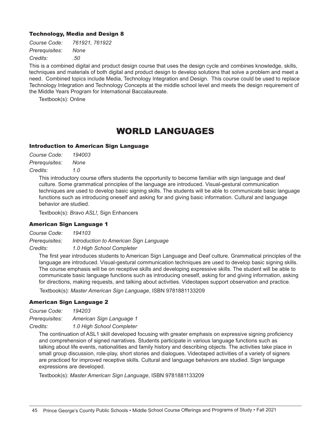#### Technology, Media and Design 8

| Course Code:   | 761921, 761922 |
|----------------|----------------|
| Prerequisites: | None           |
| Credits:       | .50            |

This is a combined digital and product design course that uses the design cycle and combines knowledge, skills, techniques and materials of both digital and product design to develop solutions that solve a problem and meet a need. Combined topics include Media, Technology Integration and Design. This course could be used to replace Technology Integration and Technology Concepts at the middle school level and meets the design requirement of the Middle Years Program for International Baccalaureate.

Textbook(s): Online

### WORLD LANGUAGES

#### Introduction to American Sign Language

| Course Code:   | 194003 |
|----------------|--------|
| Prerequisites: | None   |
| Credits:       | 1.0    |

This introductory course offers students the opportunity to become familiar with sign language and deaf culture. Some grammatical principles of the language are introduced. Visual-gestural communication techniques are used to develop basic signing skills. The students will be able to communicate basic language functions such as introducing oneself and asking for and giving basic information. Cultural and language behavior are studied.

Textbook(s): *Bravo ASL!,* Sign Enhancers

#### American Sign Language 1

*Course Code: 194103 Prerequisites: Introduction to American Sign Language Credits: 1.0 High School Completer*

The first year introduces students to American Sign Language and Deaf culture. Grammatical principles of the language are introduced. Visual-gestural communication techniques are used to develop basic signing skills. The course emphasis will be on receptive skills and developing expressive skills. The student will be able to communicate basic language functions such as introducing oneself, asking for and giving information, asking for directions, making requests, and talking about activities. Videotapes support observation and practice.

Textbook(s): *Master American Sign Language*, ISBN 9781881133209

#### American Sign Language 2

*Course Code: 194203*

*Prerequisites: American Sign Language 1*

*Credits: 1.0 High School Completer*

The continuation of ASL1 skill developed focusing with greater emphasis on expressive signing proficiency and comprehension of signed narratives. Students participate in various language functions such as talking about life events, nationalities and family history and describing objects. The activities take place in small group discussion, role-play, short stories and dialogues. Videotaped activities of a variety of signers are practiced for improved receptive skills. Cultural and language behaviors are studied. Sign language expressions are developed.

Textbook(s): *Master American Sign Language*, ISBN 9781881133209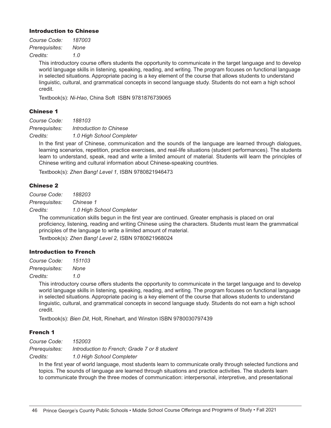#### Introduction to Chinese

| Course Code:   | 187003 |
|----------------|--------|
| Prerequisites: | None   |
| Credits:       | 1.0    |

This introductory course offers students the opportunity to communicate in the target language and to develop world language skills in listening, speaking, reading, and writing. The program focuses on functional language in selected situations. Appropriate pacing is a key element of the course that allows students to understand linguistic, cultural, and grammatical concepts in second language study. Students do not earn a high school credit.

Textbook(s): *Ni-Hao*, China Soft ISBN 9781876739065

#### Chinese 1

*Course Code: 188103*

*Prerequisites: Introduction to Chinese*

*Credits: 1.0 High School Completer*

In the first year of Chinese, communication and the sounds of the language are learned through dialogues, learning scenarios, repetition, practice exercises, and real-life situations (student performances). The students learn to understand, speak, read and write a limited amount of material. Students will learn the principles of Chinese writing and cultural information about Chinese-speaking countries.

Textbook(s): *Zhen Bang! Level 1,* ISBN 9780821946473

#### Chinese 2

*Course Code: 188203*

*Prerequisites: Chinese 1*

*Credits: 1.0 High School Completer*

The communication skills begun in the first year are continued. Greater emphasis is placed on oral proficiency, listening, reading and writing Chinese using the characters. Students must learn the grammatical principles of the language to write a limited amount of material. Textbook(s): *Zhen Bang! Level 2,* ISBN 9780821968024

#### Introduction to French

*Course Code: 151103 Prerequisites: None*

*Credits: 1.0*

This introductory course offers students the opportunity to communicate in the target language and to develop world language skills in listening, speaking, reading, and writing. The program focuses on functional language in selected situations. Appropriate pacing is a key element of the course that allows students to understand linguistic, cultural, and grammatical concepts in second language study. Students do not earn a high school credit.

Textbook(s): *Bien Dit*, Holt, Rinehart, and Winston ISBN 9780030797439

#### French 1

*Course Code: 152003* 

*Prerequisites: Introduction to French; Grade 7 or 8 student*

*Credits: 1.0 High School Completer*

In the first year of world language, most students learn to communicate orally through selected functions and topics. The sounds of language are learned through situations and practice activities. The students learn to communicate through the three modes of communication: interpersonal, interpretive, and presentational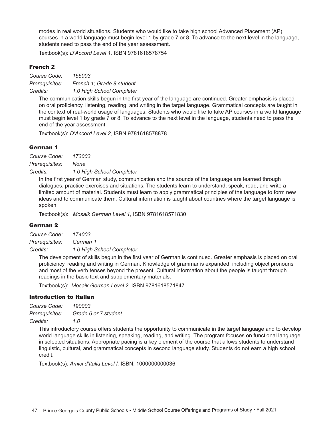modes in real world situations. Students who would like to take high school Advanced Placement (AP) courses in a world language must begin level 1 by grade 7 or 8. To advance to the next level in the language, students need to pass the end of the year assessment.

Textbook(s): *D'Accord Level 1,* ISBN 9781618578754

#### French 2

*Course Code: 155003 Prerequisites: French 1; Grade 8 student Credits: 1.0 High School Completer*

The communication skills begun in the first year of the language are continued. Greater emphasis is placed on oral proficiency, listening, reading, and writing in the target language. Grammatical concepts are taught in the context of real-world usage of languages. Students who would like to take AP courses in a world language must begin level 1 by grade 7 or 8. To advance to the next level in the language, students need to pass the end of the year assessment.

Textbook(s): *D'Accord Level 2,* ISBN 9781618578878

#### German 1

*Course Code: 173003 Prerequisites: None Credits: 1.0 High School Completer*

In the first year of German study, communication and the sounds of the language are learned through dialogues, practice exercises and situations. The students learn to understand, speak, read, and write a limited amount of material. Students must learn to apply grammatical principles of the language to form new ideas and to communicate them. Cultural information is taught about countries where the target language is spoken.

Textbook(s): *Mosaik German Level 1,* ISBN 9781618571830

#### German 2

*Course Code: 174003 Prerequisites: German 1*

*Credits: 1.0 High School Completer*

The development of skills begun in the first year of German is continued. Greater emphasis is placed on oral proficiency, reading and writing in German. Knowledge of grammar is expanded, including object pronouns and most of the verb tenses beyond the present. Cultural information about the people is taught through readings in the basic text and supplementary materials.

Textbook(s): *Mosaik German Level 2,* ISBN 9781618571847

#### Introduction to Italian

*Course Code: 190003 Prerequisites: Grade 6 or 7 student Credits: 1.0*

This introductory course offers students the opportunity to communicate in the target language and to develop world language skills in listening, speaking, reading, and writing. The program focuses on functional language in selected situations. Appropriate pacing is a key element of the course that allows students to understand linguistic, cultural, and grammatical concepts in second language study. Students do not earn a high school credit.

Textbook(s): *Amici d'Italia Level I,* ISBN: 1000000000036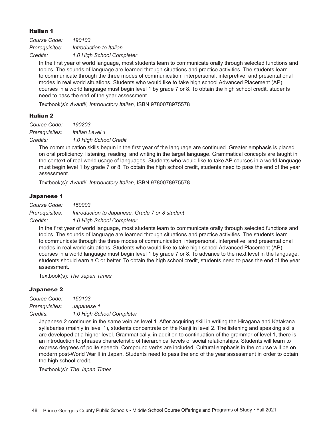#### Italian 1

*Course Code: 190103 Prerequisites: Introduction to Italian Credits: 1.0 High School Completer*

In the first year of world language, most students learn to communicate orally through selected functions and topics. The sounds of language are learned through situations and practice activities. The students learn to communicate through the three modes of communication: interpersonal, interpretive, and presentational modes in real world situations. Students who would like to take high school Advanced Placement (AP) courses in a world language must begin level 1 by grade 7 or 8. To obtain the high school credit, students need to pass the end of the year assessment.

Textbook(s): *Avanti!, Introductory Italian,* ISBN 9780078975578

#### Italian 2

*Course Code: 190203 Prerequisites: Italian Level 1*

*Credits: 1.0 High School Credit*

The communication skills begun in the first year of the language are continued. Greater emphasis is placed on oral proficiency, listening, reading, and writing in the target language. Grammatical concepts are taught in the context of real-world usage of languages. Students who would like to take AP courses in a world language must begin level 1 by grade 7 or 8. To obtain the high school credit, students need to pass the end of the year assessment.

Textbook(s): *Avanti!, Introductory Italian,* ISBN 9780078975578

#### Japanese 1

*Course Code: 150003 Prerequisites: Introduction to Japanese; Grade 7 or 8 student*

*Credits: 1.0 High School Completer*

In the first year of world language, most students learn to communicate orally through selected functions and topics. The sounds of language are learned through situations and practice activities. The students learn to communicate through the three modes of communication: interpersonal, interpretive, and presentational modes in real world situations. Students who would like to take high school Advanced Placement (AP) courses in a world language must begin level 1 by grade 7 or 8. To advance to the next level in the language, students should earn a C or better. To obtain the high school credit, students need to pass the end of the year assessment.

Textbook(s): *The Japan Times*

#### Japanese 2

*Course Code: 150103*

*Prerequisites: Japanese 1*

*Credits: 1.0 High School Completer*

Japanese 2 continues in the same vein as level 1. After acquiring skill in writing the Hiragana and Katakana syllabaries (mainly in level 1), students concentrate on the Kanji in level 2. The listening and speaking skills are developed at a higher level. Grammatically, in addition to continuation of the grammar of level 1, there is an introduction to phrases characteristic of hierarchical levels of social relationships. Students will learn to express degrees of polite speech. Compound verbs are included. Cultural emphasis in the course will be on modern post-World War II in Japan. Students need to pass the end of the year assessment in order to obtain the high school credit.

Textbook(s): *The Japan Times*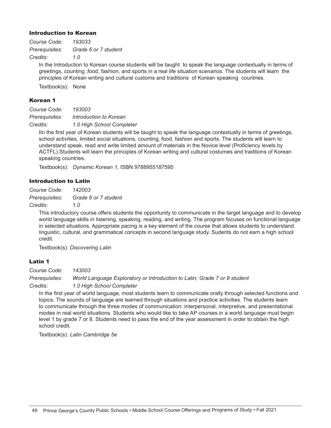#### Introduction to Korean

*Course Code: 193033 Prerequisites: Grade 6 or 7 student Credits: 1.0*

In the Introduction to Korean course students will be taught to speak the language contextually in terms of greetings, counting ,food, fashion, and sports in a real life situation scenarios. The students will learn the principles of Korean writing and cultural customs and traditions of Korean speaking countries.

Textbook(s): None

#### Korean 1

*Course Code: 193003 Prerequisites: Introduction to Korean*

*Credits: 1.0 High School Completer*

IIn the first year of Korean students will be taught to speak the language contextually in terms of greetings, school activities, limited social situations, counting, food, fashion and sports. The students will learn to understand speak, read and write limited amount of materials in the Novice level (Proficiency levels by ACTFL).Students will learn the principles of Korean writing and cultural costumes and traditions of Korean speaking countries.

Textbook(s): *Dynamic Korean 1,* ISBN 9788955187595

#### Introduction to Latin

*Course Code: 142003 Prerequisites: Grade 6 or 7 student Credits: 1.0*

> This introductory course offers students the opportunity to communicate in the target language and to develop world language skills in listening, speaking, reading, and writing. The program focuses on functional language in selected situations. Appropriate pacing is a key element of the course that allows students to understand linguistic, cultural, and grammatical concepts in second language study. Sudents do not earn a high school credit.

Textbook(s): *Discovering Latin*

#### Latin 1

*Course Code: 143003*

*Prerequisites: World Language Exploratory or Introduction to Latin; Grade 7 or 8 student Credits: 1.0 High School Completer*

In the first year of world language, most students learn to communicate orally through selected functions and topics. The sounds of language are learned through situations and practice activities. The students learn to communicate through the three modes of communication: interpersonal, interpretive, and presentational modes in real world situations. Students who would like to take AP courses in a world language must begin level 1 by grade 7 or 8. Students need to pass the end of the year assessment in order to obtain the high school credit.

Textbook(s): *Latin Cambridge 5e*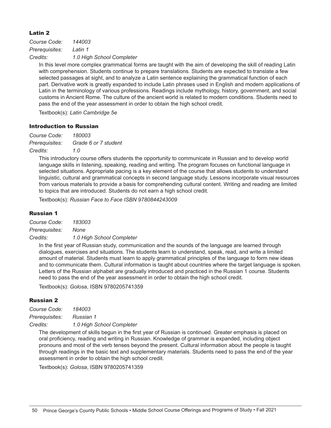#### Latin 2

*Course Code: 144003 Prerequisites: Latin 1 Credits: 1.0 High School Completer*

In this level more complex grammatical forms are taught with the aim of developing the skill of reading Latin with comprehension. Students continue to prepare translations. Students are expected to translate a few selected passages at sight, and to analyze a Latin sentence explaining the grammatical function of each part. Derivative work is greatly expanded to include Latin phrases used in English and modern applications of Latin in the terminology of various professions. Readings include mythology, history, government, and social customs in Ancient Rome. The culture of the ancient world is related to modern conditions. Students need to pass the end of the year assessment in order to obtain the high school credit.

Textbook(s): *Latin Cambridge 5e*

#### Introduction to Russian

*Course Code: 180003 Prerequisites: Grade 6 or 7 student Credits: 1.0*

> This introductory course offers students the opportunity to communicate in Russian and to develop world language skills in listening, speaking, reading and writing. The program focuses on functional language in selected situations. Appropriate pacing is a key element of the course that allows students to understand linguistic, cultural and grammatical concepts in second language study. Lessons incorporate visual resources from various materials to provide a basis for comprehending cultural content. Writing and reading are limited to topics that are introduced. Students do not earn a high school credit.

Textbook(s): *Russian Face to Face ISBN 9780844243009*

#### Russian 1

*Course Code: 183003*

*Prerequisites: None*

*Credits: 1.0 High School Completer*

In the first year of Russian study, communication and the sounds of the language are learned through dialogues, exercises and situations. The students learn to understand, speak, read, and write a limited amount of material. Students must learn to apply grammatical principles of the language to form new ideas and to communicate them. Cultural information is taught about countries where the target language is spoken. Letters of the Russian alphabet are gradually introduced and practiced in the Russian 1 course. Students need to pass the end of the year assessment in order to obtain the high school credit.

Textbook(s): *Golosa*, ISBN 9780205741359

#### Russian 2

*Course Code: 184003 Prerequisites: Russian 1 Credits: 1.0 High School Completer*

The development of skills begun in the first year of Russian is continued. Greater emphasis is placed on oral proficiency, reading and writing in Russian. Knowledge of grammar is expanded, including object pronouns and most of the verb tenses beyond the present. Cultural information about the people is taught through readings in the basic text and supplementary materials. Students need to pass the end of the year assessment in order to obtain the high school credit.

Textbook(s): *Golosa*, ISBN 9780205741359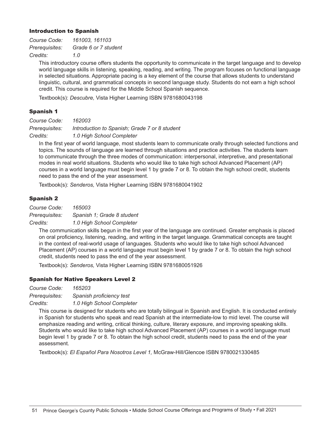#### Introduction to Spanish

| Course Code:   | 161003, 161103       |
|----------------|----------------------|
| Prerequisites: | Grade 6 or 7 student |
| Credits:       | 1.0                  |

This introductory course offers students the opportunity to communicate in the target language and to develop world language skills in listening, speaking, reading, and writing. The program focuses on functional language in selected situations. Appropriate pacing is a key element of the course that allows students to understand linguistic, cultural, and grammatical concepts in second language study. Students do not earn a high school credit. This course is required for the Middle School Spanish sequence.

Textbook(s): *Descubre,* Vista Higher Learning ISBN 9781680043198

#### Spanish 1

*Course Code: 162003 Prerequisites: Introduction to Spanish; Grade 7 or 8 student Credits: 1.0 High School Completer*

In the first year of world language, most students learn to communicate orally through selected functions and topics. The sounds of language are learned through situations and practice activities. The students learn to communicate through the three modes of communication: interpersonal, interpretive, and presentational modes in real world situations. Students who would like to take high school Advanced Placement (AP) courses in a world language must begin level 1 by grade 7 or 8. To obtain the high school credit, students need to pass the end of the year assessment.

Textbook(s): *Senderos,* Vista Higher Learning ISBN 9781680041902

#### Spanish 2

*Course Code: 165003*

*Prerequisites: Spanish 1; Grade 8 student*

*Credits: 1.0 High School Completer*

The communication skills begun in the first year of the language are continued. Greater emphasis is placed on oral proficiency, listening, reading, and writing in the target language. Grammatical concepts are taught in the context of real-world usage of languages. Students who would like to take high school Advanced Placement (AP) courses in a world language must begin level 1 by grade 7 or 8. To obtain the high school credit, students need to pass the end of the year assessment.

Textbook(s): *Senderos,* Vista Higher Learning ISBN 9781680051926

#### Spanish for Native Speakers Level 2

*Course Code: 165203*

*Prerequisites: Spanish proficiency test*

*Credits: 1.0 High School Completer*

This course is designed for students who are totally bilingual in Spanish and English. It is conducted entirely in Spanish for students who speak and read Spanish at the intermediate-low to mid level. The course will emphasize reading and writing, critical thinking, culture, literary exposure, and improving speaking skills. Students who would like to take high school Advanced Placement (AP) courses in a world language must begin level 1 by grade 7 or 8. To obtain the high school credit, students need to pass the end of the year assessment.

Textbook(s): *El Español Para Nosotros Level 1,* McGraw-Hill/Glencoe ISBN 9780021330485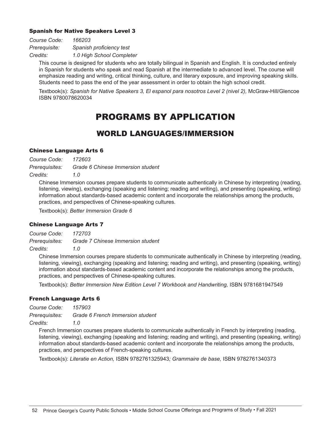#### Spanish for Native Speakers Level 3

| Course Code:  | 166203                    |
|---------------|---------------------------|
| Prerequisite: | Spanish proficiency test  |
| Credits:      | 1.0 High School Completer |

This course is designed for students who are totally bilingual in Spanish and English. It is conducted entirely in Spanish for students who speak and read Spanish at the intermediate to advanced level. The course will emphasize reading and writing, critical thinking, culture, and literary exposure, and improving speaking skills. Students need to pass the end of the year assessment in order to obtain the high school credit.

Textbook(s): *Spanish for Native Speakers 3, El espanol para nosotros Level 2 (nivel 2),* McGraw-Hill/Glencoe ISBN 9780078620034

### PROGRAMS BY APPLICATION

### WORLD LANGUAGES/IMMERSION

#### Chinese Language Arts 6

*Course Code: 172603*

*Prerequisites: Grade 6 Chinese Immersion student*

*Credits: 1.0*

Chinese Immersion courses prepare students to communicate authentically in Chinese by interpreting (reading, listening, viewing), exchanging (speaking and listening; reading and writing), and presenting (speaking, writing) information about standards-based academic content and incorporate the relationships among the products, practices, and perspectives of Chinese-speaking cultures.

Textbook(s): *Better Immersion Grade 6*

#### Chinese Language Arts 7

*Course Code: 172703 Prerequisites: Grade 7 Chinese Immersion student*

*Credits: 1.0*

Chinese Immersion courses prepare students to communicate authentically in Chinese by interpreting (reading, listening, viewing), exchanging (speaking and listening; reading and writing), and presenting (speaking, writing) information about standards-based academic content and incorporate the relationships among the products, practices, and perspectives of Chinese-speaking cultures.

Textbook(s): *Better Immersion New Edition Level 7 Workbook and Handwriting, ISBN 9781681947549* 

#### French Language Arts 6

*Course Code: 157903 Prerequisites: Grade 6 French Immersion student*

*Credits: 1.0*

French Immersion courses prepare students to communicate authentically in French by interpreting (reading, listening, viewing), exchanging (speaking and listening; reading and writing), and presenting (speaking, writing) information about standards-based academic content and incorporate the relationships among the products, practices, and perspectives of French-speaking cultures.

Textbook(s): *Literatie en Action,* ISBN 9782761325943*; Grammaire de base,* ISBN 9782761340373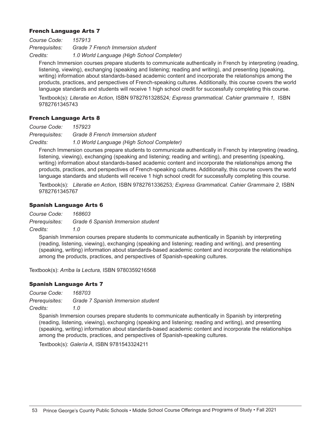#### French Language Arts 7

*Course Code: 157913 Prerequisites: Grade 7 French Immersion student Credits: 1.0 World Language (High School Completer)*

French Immersion courses prepare students to communicate authentically in French by interpreting (reading, listening, viewing), exchanging (speaking and listening; reading and writing), and presenting (speaking, writing) information about standards-based academic content and incorporate the relationships among the products, practices, and perspectives of French-speaking cultures. Additionally, this course covers the world language standards and students will receive 1 high school credit for successfully completing this course.

Textbook(s): *Literatie en Action,* ISBN 9782761328524*; Express grammatical. Cahier grammaire 1,* ISBN 9782761345743

#### French Language Arts 8

*Course Code: 157923*

*Prerequisites: Grade 8 French Immersion student*

*Credits: 1.0 World Language (High School Completer)*

French Immersion courses prepare students to communicate authentically in French by interpreting (reading, listening, viewing), exchanging (speaking and listening; reading and writing), and presenting (speaking, writing) information about standards-based academic content and incorporate the relationships among the products, practices, and perspectives of French-speaking cultures. Additionally, this course covers the world language standards and students will receive 1 high school credit for successfully completing this course.

Textbook(s): *Literatie en Action,* ISBN 9782761336253*; Express Grammatical. Cahier Grammaire 2,* ISBN 9782761345767

#### Spanish Language Arts 6

*Course Code: 168603*

*Prerequisites: Grade 6 Spanish Immersion student*

*Credits: 1.0* 

Spanish Immersion courses prepare students to communicate authentically in Spanish by interpreting (reading, listening, viewing), exchanging (speaking and listening; reading and writing), and presenting (speaking, writing) information about standards-based academic content and incorporate the relationships among the products, practices, and perspectives of Spanish-speaking cultures.

Textbook(s): *Arriba la Lectura,* ISBN 9780359216568

#### Spanish Language Arts 7

*Course Code: 168703*

*Prerequisites: Grade 7 Spanish Immersion student*

*Credits: 1.0* 

Spanish Immersion courses prepare students to communicate authentically in Spanish by interpreting (reading, listening, viewing), exchanging (speaking and listening; reading and writing), and presenting (speaking, writing) information about standards-based academic content and incorporate the relationships among the products, practices, and perspectives of Spanish-speaking cultures.

Textbook(s): *Galería A,* ISBN 9781543324211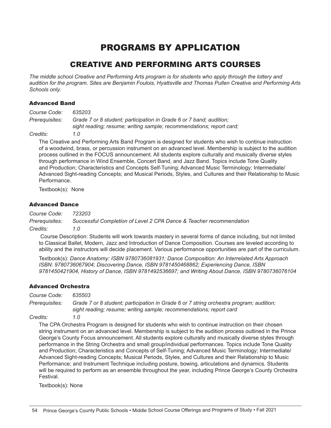### PROGRAMS BY APPLICATION

### CREATIVE AND PERFORMING ARTS COURSES

*The middle school Creative and Performing Arts program is for students who apply through the lottery and audition for the program. Sites are Benjamin Foulois, Hyattsville and Thomas Pullen Creative and Performing Arts Schools only.*

#### Advanced Band

| Course Code:   | 635203                                                                                                                                                                        |
|----------------|-------------------------------------------------------------------------------------------------------------------------------------------------------------------------------|
| Prerequisites: | Grade 7 or 8 student; participation in Grade 6 or 7 band; audition;<br>sight reading; resume; writing sample; recommendations; report card;                                   |
| Credits:       | 1 O                                                                                                                                                                           |
|                | The Creative and Performing Arts Band Program is designed for students who wish to co<br>of a woodwind brass, or percussion instrument on an advanced level. Membership is su |

The Creative and Program is designed for biect to the audition process outlined in the FOCUS announcement. All students explore culturally and musically diverse styles through performance in Wind Ensemble, Concert Band, and Jazz Band. Topics include Tone Quality and Production; Characteristics and Concepts Self-Tuning; Advanced Music Terminology; Intermediate/ Advanced Sight-reading Concepts; and Musical Periods, Styles, and Cultures and their Relationship to Music Performance.

Textbook(s): None

#### Advanced Dance

*Course Code: 723203 Prerequisites: Successful Completion of Level 2 CPA Dance & Teacher recommendation Credits: 1.0*

 Course Description: Students will work towards mastery in several forms of dance including, but not limited to Classical Ballet, Modern, Jazz and Introduction of Dance Composition. Courses are leveled according to ability and the instructors will decide placement. Various performance opportunities are part of the curriculum.

Textbook(s): *Dance Anatomy: ISBN 9780736081931; Dance Composition: An Interrelated Arts Approach ISBN: 9780736067904; Discovering Dance, ISBN 9781450468862; Experiencing Dance, ISBN 9781450421904, History of Dance, ISBN 9781492536697; and Writing About Dance, ISBN 9780736076104*

#### Advanced Orchestra

*Course Code: 635503*

*Prerequisites: Grade 7 or 8 student; participation in Grade 6 or 7 string orchestra program; audition; sight reading; resume; writing sample; recommendations; report card*

*Credits: 1.0*

The CPA Orchestra Program is designed for students who wish to continue instruction on their chosen string instrument on an advanced level. Membership is subject to the audition process outlined in the Prince George's County Focus announcement. All students explore culturally and musically diverse styles through performance in the String Orchestra and small group/individual performances. Topics include Tone Quality and Production; Characteristics and Concepts of Self-Tuning; Advanced Music Terminology; Intermediate/ Advanced Sight-reading Concepts; Musical Periods, Styles, and Cultures and their Relationship to Music Performance; and Instrument Technique including posture, bowing, articulations and dynamics. Students will be required to perform as an ensemble throughout the year, including Prince George's County Orchestra Festival.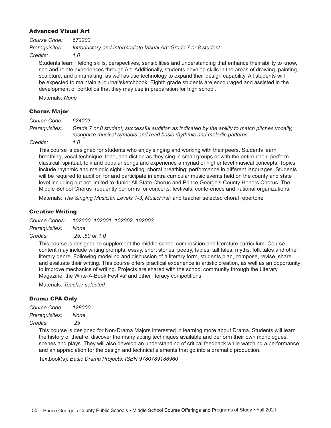#### Advanced Visual Art

*Course Code: 673203 Prerequisites: Introductory and Intermediate Visual Art; Grade 7 or 8 student Credits: 1.0*

Students learn lifelong skills, perspectives, sensibilities and understanding that enhance their ability to know, see and relate experiences through Art. Additionally, students develop skills in the areas of drawing, painting, sculpture, and printmaking, as well as use technology to expand their design capability. All students will be expected to maintain a journal/sketchbook. Eighth grade students are encouraged and assisted in the development of portfolios that they may use in preparation for high school.

Materials: *None*

#### Chorus Major

*Course Code: 624003*

*Prerequisites: Grade 7 or 8 student; successful audition as indicated by the ability to match pitches vocally, recognize musical symbols and read basic rhythmic and melodic patterns*

*Credits: 1.0*

This course is designed for students who enjoy singing and working with their peers. Students learn breathing, vocal technique, tone, and diction as they sing in small groups or with the entire choir, perform classical, spiritual, folk and popular songs and experience a myriad of higher level musical concepts. Topics include rhythmic and melodic sight - reading; choral breathing; performance in different languages. Students will be required to audition for and participate in extra curricular music events held on the county and state level including but not limited to Junior All-State Chorus and Prince George's County Honors Chorus. The Middle School Chorus frequently performs for concerts, festivals, conferences and national organizations.

Materials: *The Singing Musician Levels 1-3*, *MusicFirst;* and teacher selected choral repertoire

#### Creative Writing

*Course Codes: 102000, 102001, 102002, 102003 Prerequisites: None*

*Credits: .25, .50 or 1.0*

This course is designed to supplement the middle school composition and literature curriculum. Course content may include writing prompts, essay, short stories, poetry, fables, tall tales, myths, folk tales and other literary genre. Following modeling and discussion of a literary form, students plan, compose, revise, share and evaluate their writing. This course offers practical experience in artistic creation, as well as an opportunity to improve mechanics of writing. Projects are shared with the school community through the Literary Magazine, the Write-A-Book Festival and other literacy competitions.

Materials: *Teacher selected*

#### Drama CPA Only

| Course Code:   | <i>128000</i> |
|----------------|---------------|
| Prerequisites: | None          |
| Credits:       | .25           |

This course is designed for Non-Drama Majors interested in learning more about Drama. Students will learn the history of theatre, discover the many acting techniques available and perform their own monologues, scenes and plays. They will also develop an understanding of critical feedback while watching a performance and an appreciation for the design and technical elements that go into a dramatic production.

Textbook(s): *Basic Drama Projects, ISBN 9780789188960*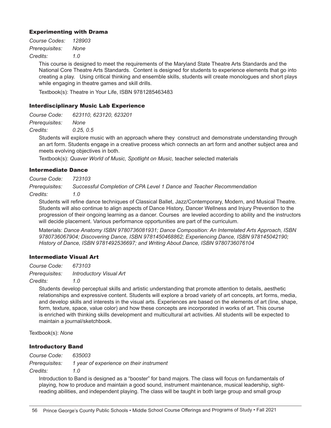#### Experimenting with Drama

| Course Codes:  | 128903 |
|----------------|--------|
| Prerequisites: | None   |
| Credits:       | 1.0    |

This course is designed to meet the requirements of the Maryland State Theatre Arts Standards and the National Core Theatre Arts Standards. Content is designed for students to experience elements that go into creating a play. Using critical thinking and ensemble skills, students will create monologues and short plays while engaging in theatre games and skill drills.

Textbook(s): Theatre in Your Life, ISBN 9781285463483

#### Interdisciplinary Music Lab Experience

*Course Code: 623110, 623120, 623201*

*Prerequisites: None*

*Credits: 0.25, 0.5*

Students will explore music with an approach where they construct and demonstrate understanding through an art form. Students engage in a creative process which connects an art form and another subject area and meets evolving objectives in both.

Textbook(s): *Quaver World of Music, Spotlight on Music,* teacher selected materials

#### Intermediate Dance

*Course Code: 723103*

*Prerequisites: Successful Completion of CPA Level 1 Dance and Teacher Recommendation*

*Credits: 1.0*

Students will refine dance techniques of Classical Ballet, Jazz/Contemporary, Modern, and Musical Theatre. Students will also continue to align aspects of Dance History, Dancer Wellness and Injury Prevention to the progression of their ongoing learning as a dancer. Courses are leveled according to ability and the instructors will decide placement. Various performance opportunities are part of the curriculum.

Materials: *Dance Anatomy ISBN 9780736081931; Dance Composition: An Interrelated Arts Approach, ISBN 9780736067904; Discovering Dance, ISBN 9781450468862; Experiencing Dance, ISBN 978145042190; History of Dance, ISBN 9781492536697; and Writing About Dance, ISBN 9780736076104*

#### Intermediate Visual Art

*Course Code: 673103 Prerequisites: Introductory Visual Art*

*Credits: 1.0*

Students develop perceptual skills and artistic understanding that promote attention to details, aesthetic relationships and expressive content. Students will explore a broad variety of art concepts, art forms, media, and develop skills and interests in the visual arts. Experiences are based on the elements of art (line, shape, form, texture, space, value color) and how these concepts are incorporated in works of art. This course is enriched with thinking skills development and multicultural art activities. All students will be expected to maintain a journal/sketchbook.

Textbook(s): *None*

#### Introductory Band

*Course Code: 635003 Prerequisites: 1 year of experience on their instrument Credits: 1.0*

Introduction to Band is designed as a "booster" for band majors. The class will focus on fundamentals of playing, how to produce and maintain a good sound, instrument maintenance, musical leadership, sightreading abilities, and independent playing. The class will be taught in both large group and small group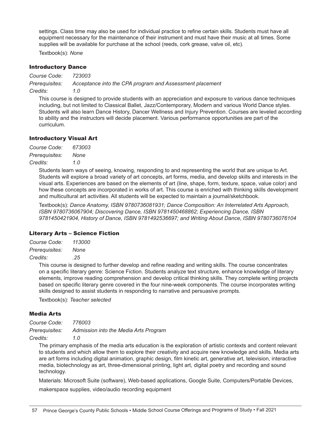settings. Class time may also be used for individual practice to refine certain skills. Students must have all equipment necessary for the maintenance of their instrument and must have their music at all times. Some supplies will be available for purchase at the school (reeds, cork grease, valve oil, etc).

Textbook(s): *None*

#### Introductory Dance

*Course Code: 723003 Prerequisites: Acceptance into the CPA program and Assessment placement Credits: 1.0*

This course is designed to provide students with an appreciation and exposure to various dance techniques including, but not limited to Classical Ballet, Jazz/Contemporary, Modern and various World Dance styles. Students will also learn Dance History, Dancer Wellness and Injury Prevention. Courses are leveled according to ability and the instructors will decide placement. Various performance opportunities are part of the curriculum.

#### Introductory Visual Art

| Course Code:   | 673003 |
|----------------|--------|
| Prerequisites: | None   |
| Credits:       | 1.0    |

Students learn ways of seeing, knowing, responding to and representing the world that are unique to Art. Students will explore a broad variety of art concepts, art forms, media, and develop skills and interests in the visual arts. Experiences are based on the elements of art (line, shape, form, texture, space, value color) and how these concepts are incorporated in works of art. This course is enriched with thinking skills development and multicultural art activities. All students will be expected to maintain a journal/sketchbook.

Textbook(s): *Dance Anatomy, ISBN 9780736081931; Dance Composition: An Interrelated Arts Approach, ISBN 9780736067904; Discovering Dance, ISBN 9781450468862; Experiencing Dance, ISBN 9781450421904, History of Dance, ISBN 9781492536697; and Writing About Dance, ISBN 9780736076104*

#### Literary Arts – Science Fiction

*Course Code: 113000 Prerequisites: None Credits: .25*

> This course is designed to further develop and refine reading and writing skills. The course concentrates on a specific literary genre: Science Fiction. Students analyze text structure, enhance knowledge of literary elements, improve reading comprehension and develop critical thinking skills. They complete writing projects based on specific literary genre covered in the four nine-week components. The course incorporates writing skills designed to assist students in responding to narrative and persuasive prompts.

Textbook(s): *Teacher selected*

#### Media Arts

*Course Code: 776003 Prerequisites: Admission into the Media Arts Program* 

*Credits: 1.0*

The primary emphasis of the media arts education is the exploration of artistic contexts and content relevant to students and which allow them to explore their creativity and acquire new knowledge and skills. Media arts are art forms including digital animation, graphic design, film kinetic art, generative art, television, interactive media, biotechnology as art, three-dimensional printing, light art, digital poetry and recording and sound technology.

Materials: Microsoft Suite (software), Web-based applications, Google Suite, Computers/Portable Devices,

makerspace supplies, video/audio recording equipment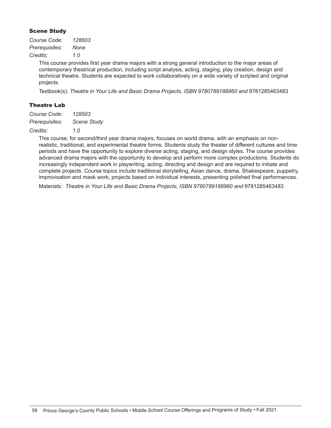#### Scene Study

| Course Code:   | 128603 |
|----------------|--------|
| Prerequisites: | None   |
| Credits:       | 1.0    |

This course provides first year drama majors with a strong general introduction to the major areas of contemporary theatrical production, including script analysis, acting, staging, play creation, design and technical theatre. Students are expected to work collaboratively on a wide variety of scripted and original projects.

Textbook(s): *Theatre in Your Life and Basic Drama Projects, ISBN 9780789188960 and* 9781285463483

#### Theatre Lab

| Course Code:   | 128503             |
|----------------|--------------------|
| Prerequisites: | <b>Scene Study</b> |

#### *Credits: 1.0*

This course, for second/third year drama majors, focuses on world drama, with an emphasis on nonrealistic, traditional, and experimental theatre forms. Students study the theater of different cultures and time periods and have the opportunity to explore diverse acting, staging, and design styles. The course provides advanced drama majors with the opportunity to develop and perform more complex productions. Students do increasingly independent work in playwriting, acting, directing and design and are required to initiate and complete projects. Course topics include traditional storytelling, Asian dance, drama, Shakespeare, puppetry, improvisation and mask work, projects based on individual interests, presenting polished final performances.

Materials: *Theatre in Your Life and Basic Drama Projects, ISBN 9780789188960 and* 9781285463483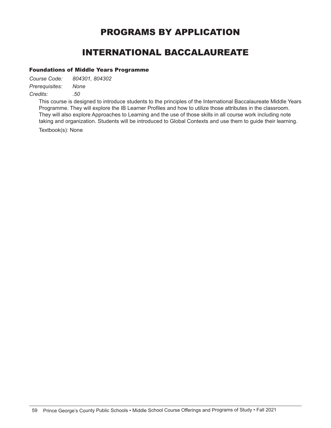### PROGRAMS BY APPLICATION

### INTERNATIONAL BACCALAUREATE

#### Foundations of Middle Years Programme

*Course Code: 804301, 804302 Prerequisites: None Credits: .50*

> This course is designed to introduce students to the principles of the International Baccalaureate Middle Years Programme. They will explore the IB Learner Profiles and how to utilize those attributes in the classroom. They will also explore Approaches to Learning and the use of those skills in all course work including note taking and organization. Students will be introduced to Global Contexts and use them to guide their learning.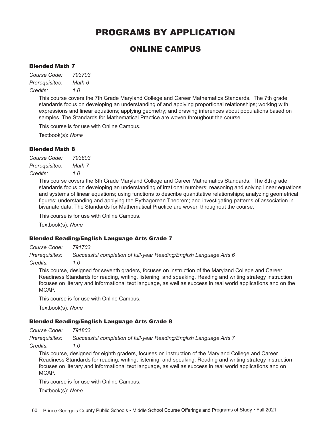### PROGRAMS BY APPLICATION

### ONLINE CAMPUS

#### Blended Math 7

*Course Code: 793703 Prerequisites: Math 6 Credits: 1.0*

> This course covers the 7th Grade Maryland College and Career Mathematics Standards. The 7th grade standards focus on developing an understanding of and applying proportional relationships; working with expressions and linear equations; applying geometry; and drawing inferences about populations based on samples. The Standards for Mathematical Practice are woven throughout the course.

This course is for use with Online Campus.

Textbook(s): *None*

#### Blended Math 8

*Course Code: 793803 Prerequisites: Math 7 Credits: 1.0*

> This course covers the 8th Grade Maryland College and Career Mathematics Standards. The 8th grade standards focus on developing an understanding of irrational numbers; reasoning and solving linear equations and systems of linear equations; using functions to describe quantitative relationships; analyzing geometrical figures; understanding and applying the Pythagorean Theorem; and investigating patterns of association in bivariate data. The Standards for Mathematical Practice are woven throughout the course.

This course is for use with Online Campus.

Textbook(s): *None*

#### Blended Reading/English Language Arts Grade 7

*Course Code: 791703*

*Prerequisites: Successful completion of full-year Reading/English Language Arts 6*

*Credits: 1.0*

This course, designed for seventh graders, focuses on instruction of the Maryland College and Career Readiness Standards for reading, writing, listening, and speaking. Reading and writing strategy instruction focuses on literary and informational text language, as well as success in real world applications and on the MCAP.

This course is for use with Online Campus.

Textbook(s): *None* 

#### Blended Reading/English Language Arts Grade 8

*Course Code: 791803*

*Prerequisites: Successful completion of full-year Reading/English Language Arts 7*

*Credits: 1.0*

This course, designed for eighth graders, focuses on instruction of the Maryland College and Career Readiness Standards for reading, writing, listening, and speaking. Reading and writing strategy instruction focuses on literary and informational text language, as well as success in real world applications and on MCAP.

This course is for use with Online Campus.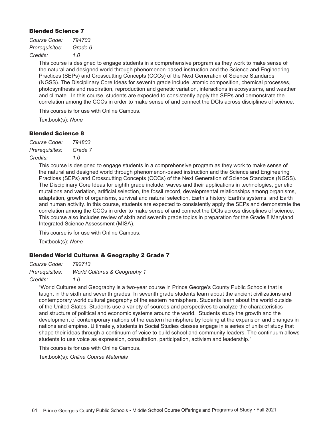#### Blended Science 7

| Course Code:   | 794703  |
|----------------|---------|
| Prerequisites: | Grade 6 |
| Credits:       | 1.0     |

This course is designed to engage students in a comprehensive program as they work to make sense of the natural and designed world through phenomenon-based instruction and the Science and Engineering Practices (SEPs) and Crosscutting Concepts (CCCs) of the Next Generation of Science Standards (NGSS). The Disciplinary Core Ideas for seventh grade include: atomic composition, chemical processes, photosynthesis and respiration, reproduction and genetic variation, interactions in ecosystems, and weather and climate. In this course, students are expected to consistently apply the SEPs and demonstrate the correlation among the CCCs in order to make sense of and connect the DCIs across disciplines of science.

This course is for use with Online Campus.

Textbook(s): *None*

#### Blended Science 8

| Course Code:   | 794803  |
|----------------|---------|
| Prerequisites: | Grade 7 |
| Credits:       | 1.0     |

This course is designed to engage students in a comprehensive program as they work to make sense of the natural and designed world through phenomenon-based instruction and the Science and Engineering Practices (SEPs) and Crosscutting Concepts (CCCs) of the Next Generation of Science Standards (NGSS). The Disciplinary Core Ideas for eighth grade include: waves and their applications in technologies, genetic mutations and variation, artificial selection, the fossil record, developmental relationships among organisms, adaptation, growth of organisms, survival and natural selection, Earth's history, Earth's systems, and Earth and human activity. In this course, students are expected to consistently apply the SEPs and demonstrate the correlation among the CCCs in order to make sense of and connect the DCIs across disciplines of science. This course also includes review of sixth and seventh grade topics in preparation for the Grade 8 Maryland Integrated Science Assessment (MISA).

This course is for use with Online Campus.

Textbook(s): *None*

#### Blended World Cultures & Geography 2 Grade 7

| Course Code:   | 792713                                  |
|----------------|-----------------------------------------|
| Prerequisites: | <b>World Cultures &amp; Geography 1</b> |
| Credits:       | 1.0                                     |

"World Cultures and Geography is a two-year course in Prince George's County Public Schools that is taught in the sixth and seventh grades. In seventh grade students learn about the ancient civilizations and contemporary world cultural geography of the eastern hemisphere. Students learn about the world outside of the United States. Students use a variety of sources and perspectives to analyze the characteristics and structure of political and economic systems around the world. Students study the growth and the development of contemporary nations of the eastern hemisphere by looking at the expansion and changes in nations and empires. Ultimately, students in Social Studies classes engage in a series of units of study that shape their ideas through a continuum of voice to build school and community leaders. The continuum allows students to use voice as expression, consultation, participation, activism and leadership."

This course is for use with Online Campus.

Textbook(s): *Online Course Materials*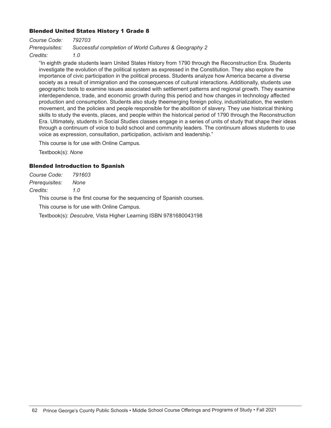#### Blended United States History 1 Grade 8

*Course Code: 792703 Prerequisites: Successful completion of World Cultures & Geography 2 Credits: 1.0*

"In eighth grade students learn United States History from 1790 through the Reconstruction Era. Students investigate the evolution of the political system as expressed in the Constitution. They also explore the importance of civic participation in the political process. Students analyze how America became a diverse society as a result of immigration and the consequences of cultural interactions. Additionally, students use geographic tools to examine issues associated with settlement patterns and regional growth. They examine interdependence, trade, and economic growth during this period and how changes in technology affected production and consumption. Students also study theemerging foreign policy, industrialization, the western movement, and the policies and people responsible for the abolition of slavery. They use historical thinking skills to study the events, places, and people within the historical period of 1790 through the Reconstruction Era. Ultimately, students in Social Studies classes engage in a series of units of study that shape their ideas through a continuum of voice to build school and community leaders. The continuum allows students to use voice as expression, consultation, participation, activism and leadership."

This course is for use with Online Campus.

Textbook(s): *None*

#### Blended Introduction to Spanish

| Course Code:   | 791603 |
|----------------|--------|
| Prerequisites: | None   |
| Credits:       | 1.0    |

This course is the first course for the sequencing of Spanish courses.

This course is for use with Online Campus.

Textbook(s): *Descubre,* Vista Higher Learning ISBN 9781680043198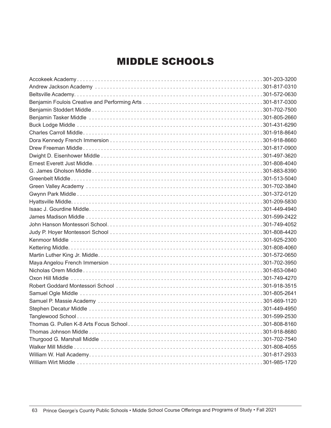## MIDDLE SCHOOLS

| 301-599-2530 |
|--------------|
|              |
|              |
|              |
|              |
|              |
|              |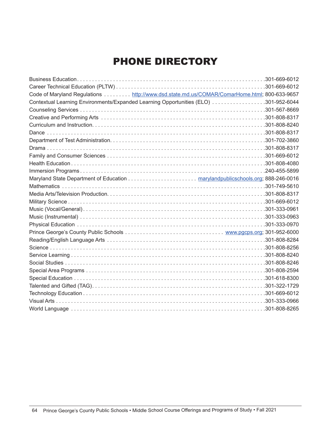# PHONE DIRECTORY

| Code of Maryland Regulations http://www.dsd.state.md.us/COMAR/ComarHome.html; 800-633-9657 |  |
|--------------------------------------------------------------------------------------------|--|
| Contextual Learning Environments/Expanded Learning Opportunities (ELO) 301-952-6044        |  |
|                                                                                            |  |
|                                                                                            |  |
|                                                                                            |  |
|                                                                                            |  |
|                                                                                            |  |
|                                                                                            |  |
|                                                                                            |  |
|                                                                                            |  |
|                                                                                            |  |
|                                                                                            |  |
|                                                                                            |  |
|                                                                                            |  |
|                                                                                            |  |
|                                                                                            |  |
|                                                                                            |  |
|                                                                                            |  |
|                                                                                            |  |
|                                                                                            |  |
|                                                                                            |  |
|                                                                                            |  |
|                                                                                            |  |
|                                                                                            |  |
|                                                                                            |  |
|                                                                                            |  |
|                                                                                            |  |
|                                                                                            |  |
|                                                                                            |  |